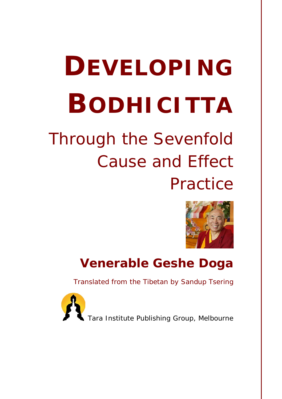# **DEVELOPING BODHICITTA**

# *Through the Sevenfold Cause and Effect Practice*



# **Venerable Geshe Doga**

*Translated from the Tibetan by Sandup Tsering*



Tara Institute Publishing Group, Melbourne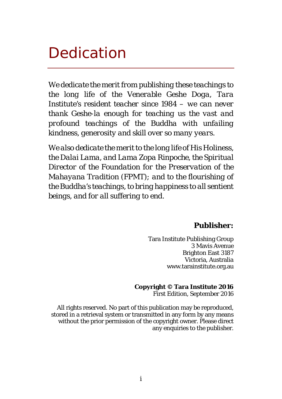# <span id="page-1-0"></span>Dedication

*We dedicate the merit from publishing these teachings to the long life of the Venerable Geshe Doga, Tara Institute's resident teacher since 1984 – we can never thank Geshe-la enough for teaching us the vast and profound teachings of the Buddha with unfailing kindness, generosity and skill over so many years.*

*We also dedicate the merit to the long life of His Holiness, the Dalai Lama, and Lama Zopa Rinpoche, the Spiritual Director of the Foundation for the Preservation of the Mahayana Tradition (FPMT); and to the flourishing of the Buddha's teachings, to bring happiness to all sentient beings, and for all suffering to end.*

#### **Publisher:**

Tara Institute Publishing Group 3 Mavis Avenue Brighton East 3187 Victoria, Australia www.tarainstitute.org.au

#### **Copyright © Tara Institute 2016**

First Edition, September 2016

All rights reserved. No part of this publication may be reproduced, stored in a retrieval system or transmitted in any form by any means without the prior permission of the copyright owner. Please direct any enquiries to the publisher.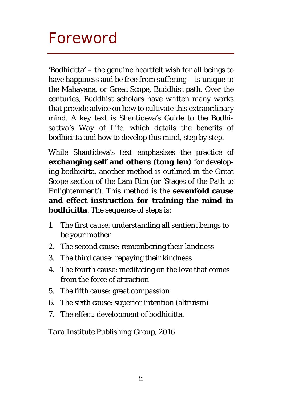# <span id="page-2-0"></span>Foreword

'Bodhicitta' – the genuine heartfelt wish for all beings to have happiness and be free from suffering – is unique to the Mahayana, or Great Scope, Buddhist path. Over the centuries, Buddhist scholars have written many works that provide advice on how to cultivate this extraordinary mind. A key text is Shantideva'*s Guide to the Bodhisattva's Way of Life*, which details the benefits of bodhicitta and how to develop this mind, step by step.

While Shantideva's text emphasises the practice of **exchanging self and others** *(tong len)* for developing bodhicitta, another method is outlined in the Great Scope section of the Lam Rim (or 'Stages of the Path to Enlightenment'). This method is the **sevenfold cause and effect instruction for training the mind in bodhicitta**. The sequence of steps is:

- 1. The first cause: understanding all sentient beings to be your mother
- 2. The second cause: remembering their kindness
- 3. The third cause: repaying their kindness
- 4. The fourth cause: meditating on the love that comes from the force of attraction
- 5. The fifth cause: great compassion
- 6. The sixth cause: superior intention (altruism)
- 7. The effect: development of bodhicitta.

*Tara Institute Publishing Group, 2016*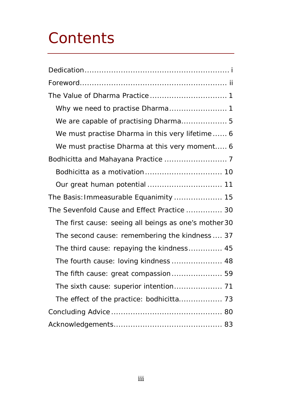# **Contents**

| We are capable of practising Dharma 5                 |
|-------------------------------------------------------|
| We must practise Dharma in this very lifetime 6       |
| We must practise Dharma at this very moment 6         |
|                                                       |
|                                                       |
|                                                       |
| The Basis: Immeasurable Equanimity  15                |
| The Sevenfold Cause and Effect Practice  30           |
| The first cause: seeing all beings as one's mother 30 |
| The second cause: remembering the kindness  37        |
| The third cause: repaying the kindness 45             |
| The fourth cause: loving kindness  48                 |
| The fifth cause: great compassion 59                  |
|                                                       |
|                                                       |
|                                                       |
|                                                       |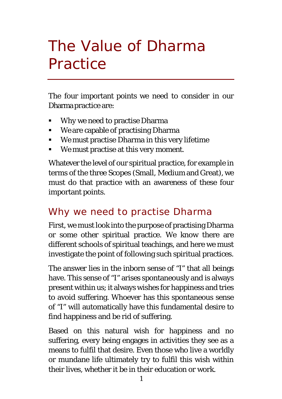# <span id="page-4-0"></span>The Value of Dharma **Practice**

The four important points we need to consider in our Dharma practice are:

- Why we need to practise Dharma
- We are capable of practising Dharma
- We must practise Dharma in this very lifetime
- We must practise at this very moment.

Whatever the level of our spiritual practice, for example in terms of the three Scopes (Small, Medium and Great), we must do that practice with an awareness of these four important points.

### <span id="page-4-1"></span>Why we need to practise Dharma

First, we must look into the purpose of practising Dharma or some other spiritual practice. We know there are different schools of spiritual teachings, and here we must investigate the point of following such spiritual practices.

The answer lies in the inborn sense of "I" that all beings have. This sense of "I" arises spontaneously and is always present within us; it always wishes for happiness and tries to avoid suffering. Whoever has this spontaneous sense of "I" will automatically have this fundamental desire to find happiness and be rid of suffering.

Based on this natural wish for happiness and no suffering, every being engages in activities they see as a means to fulfil that desire. Even those who live a worldly or mundane life ultimately try to fulfil this wish within their lives, whether it be in their education or work.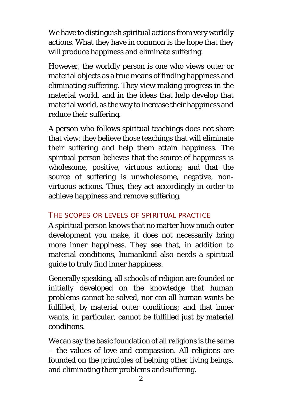We have to distinguish spiritual actions from very worldly actions. What they have in common is the hope that they will produce happiness and eliminate suffering.

However, the worldly person is one who views outer or material objects as a true means of finding happiness and eliminating suffering. They view making progress in the material world, and in the ideas that help develop that material world, as the way to increase their happiness and reduce their suffering.

A person who follows spiritual teachings does not share that view: they believe those teachings that will eliminate their suffering and help them attain happiness. The spiritual person believes that the source of happiness is wholesome, positive, virtuous actions; and that the source of suffering is unwholesome, negative, nonvirtuous actions. Thus, they act accordingly in order to achieve happiness and remove suffering.

### THE SCOPES OR LEVELS OF SPIRITUAL PRACTICE

A spiritual person knows that no matter how much outer development you make, it does not necessarily bring more inner happiness. They see that, in addition to material conditions, humankind also needs a spiritual guide to truly find inner happiness.

Generally speaking, all schools of religion are founded or initially developed on the knowledge that human problems cannot be solved, nor can all human wants be fulfilled, by material outer conditions; and that inner wants, in particular, cannot be fulfilled just by material conditions.

We can say the basic foundation of all religions is the same – the values of love and compassion. All religions are founded on the principles of helping other living beings, and eliminating their problems and suffering.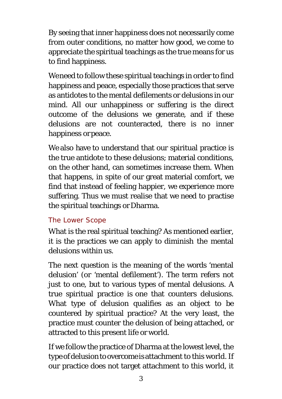By seeing that inner happiness does not necessarily come from outer conditions, no matter how good, we come to appreciate the spiritual teachings as the true means for us to find happiness.

We need to follow these spiritual teachings in order to find happiness and peace, especially those practices that serve as antidotes to the mental defilements or delusions in our mind. All our unhappiness or suffering is the direct outcome of the delusions we generate, and if these delusions are not counteracted, there is no inner happiness or peace.

We also have to understand that our spiritual practice is the true antidote to these delusions; material conditions, on the other hand, can sometimes increase them. When that happens, in spite of our great material comfort, we find that instead of feeling happier, we experience more suffering. Thus we must realise that we need to practise the spiritual teachings or Dharma.

### *The Lower Scope*

What is the real spiritual teaching? As mentioned earlier, it is the practices we can apply to diminish the mental delusions within us.

The next question is the meaning of the words 'mental delusion' (or 'mental defilement'). The term refers not just to one, but to various types of mental delusions. A true spiritual practice is one that counters delusions. What type of delusion qualifies as an object to be countered by spiritual practice? At the very least, the practice must counter the delusion of being attached, or attracted to this present life or world.

If we follow the practice of Dharma at the lowest level, the type of delusion to overcome is attachment to this world. If our practice does not target attachment to this world, it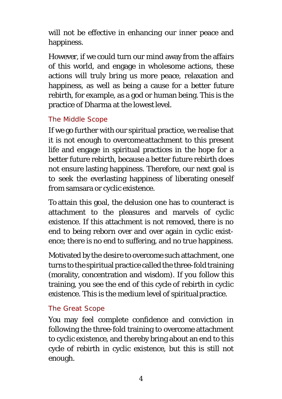will not be effective in enhancing our inner peace and happiness.

However, if we could turn our mind away from the affairs of this world, and engage in wholesome actions, these actions will truly bring us more peace, relaxation and happiness, as well as being a cause for a better future rebirth, for example, as a god or human being. This is the practice of Dharma at the lowest level.

#### *The Middle Scope*

If we go further with our spiritual practice, we realise that it is not enough to overcomeattachment to this present life and engage in spiritual practices in the hope for a better future rebirth, because a better future rebirth does not ensure lasting happiness. Therefore, our next goal is to seek the everlasting happiness of liberating oneself from samsara or cyclic existence.

To attain this goal, the delusion one has to counteract is attachment to the pleasures and marvels of cyclic existence. If this attachment is not removed, there is no end to being reborn over and over again in cyclic existence; there is no end to suffering, and no true happiness.

Motivated by the desire to overcome such attachment, one turns to the spiritual practice called the three-fold training (morality, concentration and wisdom). If you follow this training, you see the end of this cycle of rebirth in cyclic existence. This is the medium level of spiritualpractice.

#### *The Great Scope*

You may feel complete confidence and conviction in following the three-fold training to overcome attachment to cyclic existence, and thereby bring about an end to this cycle of rebirth in cyclic existence, but this is still not enough.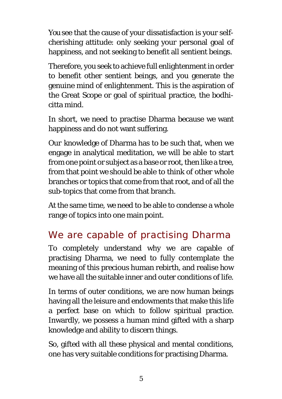You see that the cause of your dissatisfaction is your selfcherishing attitude: only seeking your personal goal of happiness, and not seeking to benefit all sentient beings.

Therefore, you seek to achieve full enlightenment in order to benefit other sentient beings, and you generate the genuine mind of enlightenment. This is the aspiration of the Great Scope or goal of spiritual practice, the bodhicitta mind.

In short, we need to practise Dharma because we want happiness and do not want suffering.

Our knowledge of Dharma has to be such that, when we engage in analytical meditation, we will be able to start from one point or subject as a base or root, then like a tree, from that point we should be able to think of other whole branches or topics that come from that root, and of all the sub-topics that come from that branch.

At the same time, we need to be able to condense a whole range of topics into one main point.

# <span id="page-8-0"></span>We are capable of practising Dharma

To completely understand why we are capable of practising Dharma, we need to fully contemplate the meaning of this precious human rebirth, and realise how we have all the suitable inner and outer conditions of life.

In terms of outer conditions, we are now human beings having all the leisure and endowments that make this life a perfect base on which to follow spiritual practice. Inwardly, we possess a human mind gifted with a sharp knowledge and ability to discern things.

So, gifted with all these physical and mental conditions, one has very suitable conditions for practising Dharma.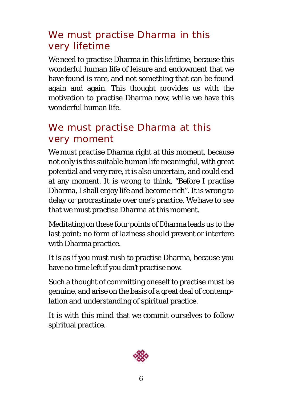### <span id="page-9-0"></span>We must practise Dharma in this very lifetime

We need to practise Dharma in this lifetime, because this wonderful human life of leisure and endowment that we have found is rare, and not something that can be found again and again. This thought provides us with the motivation to practise Dharma now, while we have this wonderful human life.

### <span id="page-9-1"></span>We must practise Dharma at this very moment

We must practise Dharma right at this moment, because not only is this suitable human life meaningful, with great potential and very rare, it is also uncertain, and could end at any moment. It is wrong to think, "Before I practise Dharma, I shall enjoy life and become rich". It is wrong to delay or procrastinate over one's practice. We have to see that we must practise Dharma at this moment.

Meditating on these four points of Dharma leads us to the last point: no form of laziness should prevent or interfere with Dharma practice.

It is as if you must rush to practise Dharma, because you have no time left if you don't practise now.

Such a thought of committing oneself to practise must be genuine, and arise on the basis of a great deal of contemplation and understanding of spiritual practice.

It is with this mind that we commit ourselves to follow spiritual practice.

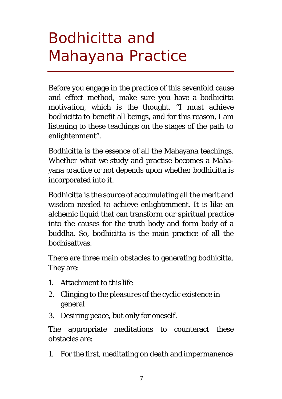# <span id="page-10-0"></span>Bodhicitta and Mahayana Practice

Before you engage in the practice of this sevenfold cause and effect method, make sure you have a bodhicitta motivation, which is the thought, "I must achieve bodhicitta to benefit all beings, and for this reason, I am listening to these teachings on the stages of the path to enlightenment".

Bodhicitta is the essence of all the Mahayana teachings. Whether what we study and practise becomes a Mahayana practice or not depends upon whether bodhicitta is incorporated into it.

Bodhicitta is the source of accumulating all the merit and wisdom needed to achieve enlightenment. It is like an alchemic liquid that can transform our spiritual practice into the causes for the truth body and form body of a buddha. So, bodhicitta is the main practice of all the bodhisattvas.

There are three main obstacles to generating bodhicitta. They are:

- 1. Attachment to this life
- 2. Clinging to the pleasures of the cyclic existence in general
- 3. Desiring peace, but only for oneself.

The appropriate meditations to counteract these obstacles are:

1. For the first, meditating on death and impermanence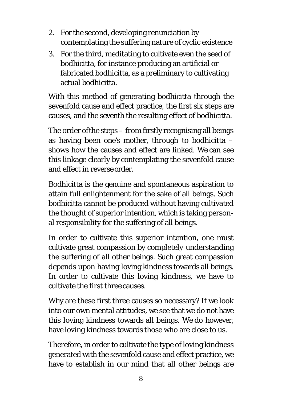- 2. For the second, developing renunciation by contemplating the suffering nature of cyclic existence
- 3. For the third, meditating to cultivate even the seed of bodhicitta, for instance producing an artificial or fabricated bodhicitta, as a preliminary to cultivating actual bodhicitta.

With this method of generating bodhicitta through the sevenfold cause and effect practice, the first six steps are causes, and the seventh the resulting effect of bodhicitta.

The order ofthe steps – from firstly recognising all beings as having been one's mother, through to bodhicitta – shows how the causes and effect are linked. We can see this linkage clearly by contemplating the sevenfold cause and effect in reverse order.

Bodhicitta is the genuine and spontaneous aspiration to attain full enlightenment for the sake of all beings. Such bodhicitta cannot be produced without having cultivated the thought of superior intention, which is taking personal responsibility for the suffering of all beings.

In order to cultivate this superior intention, one must cultivate great compassion by completely understanding the suffering of all other beings. Such great compassion depends upon having loving kindness towards all beings. In order to cultivate this loving kindness, we have to cultivate the first three causes.

Why are these first three causes so necessary? If we look into our own mental attitudes, we see that we do not have this loving kindness towards all beings. We do however, have loving kindness towards those who are close to us.

Therefore, in order to cultivate the type of loving kindness generated with the sevenfold cause and effect practice, we have to establish in our mind that all other beings are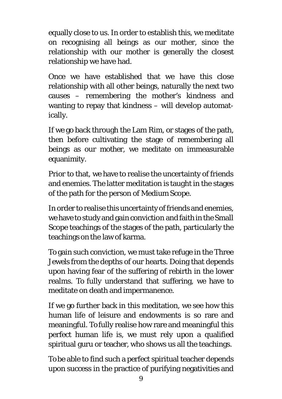equally close to us. In order to establish this, we meditate on recognising all beings as our mother, since the relationship with our mother is generally the closest relationship we have had.

Once we have established that we have this close relationship with all other beings, naturally the next two causes – remembering the mother's kindness and wanting to repay that kindness – will develop automatically.

If we go back through the Lam Rim, or stages of the path, then before cultivating the stage of remembering all beings as our mother, we meditate on immeasurable equanimity.

Prior to that, we have to realise the uncertainty of friends and enemies. The latter meditation is taught in the stages of the path for the person of Medium Scope.

In order to realise this uncertainty of friends and enemies, we have to study and gain conviction and faithin the Small Scope teachings of the stages of the path, particularly the teachings on the law of karma.

To gain such conviction, we must take refuge in the Three Jewels from the depths of our hearts. Doing that depends upon having fear of the suffering of rebirth in the lower realms. To fully understand that suffering, we have to meditate on death and impermanence.

If we go further back in this meditation, we see how this human life of leisure and endowments is so rare and meaningful. To fully realise how rare and meaningful this perfect human life is, we must rely upon a qualified spiritual guru or teacher, who shows us all the teachings.

To be able to find such a perfect spiritual teacher depends upon success in the practice of purifying negativities and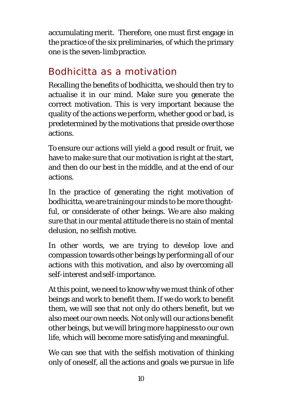accumulating merit. Therefore, one must first engage in the practice of the six preliminaries, of which the primary one is the seven-limbpractice.

### <span id="page-13-0"></span>Bodhicitta as a motivation

Recalling the benefits of bodhicitta, we should then try to actualise it in our mind. Make sure you generate the correct motivation. This is very important because the quality of the actions we perform, whether good or bad, is predetermined by the motivations that preside overthose actions.

To ensure our actions will yield a good result or fruit, we have to make sure that our motivation is right at the start, and then do our best in the middle, and at the end of our actions.

In the practice of generating the right motivation of bodhicitta, we are training our minds to be more thoughtful, or considerate of other beings. We are also making sure that in our mental attitude there is no stain of mental delusion, no selfish motive.

In other words, we are trying to develop love and compassion towards other beings by performing all of our actions with this motivation, and also by overcoming all self-interest andself-importance.

At this point, we need to know why we must think of other beings and work to benefit them. If we do work to benefit them, we will see that not only do others benefit, but we also meet our own needs. Not only will our actions benefit other beings, but we will bring more happinessto our own life, which will become more satisfying and meaningful.

We can see that with the selfish motivation of thinking only of oneself, all the actions and goals we pursue in life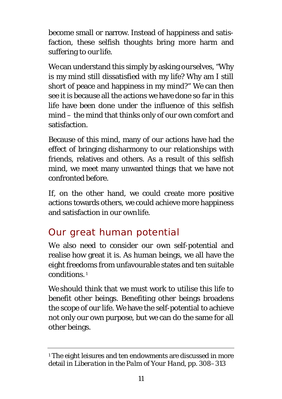become small or narrow. Instead of happiness and satisfaction, these selfish thoughts bring more harm and suffering to our life.

We can understand this simply by asking ourselves, "Why is my mind still dissatisfied with my life? Why am I still short of peace and happiness in my mind?" We can then see it is because all the actions we have done so far in this life have been done under the influence of this selfish mind – the mind that thinks only of our own comfort and satisfaction.

Because of this mind, many of our actions have had the effect of bringing disharmony to our relationships with friends, relatives and others. As a result of this selfish mind, we meet many unwanted things that we have not confronted before.

If, on the other hand, we could create more positive actions towards others, we could achieve more happiness and satisfaction in our ownlife.

# <span id="page-14-0"></span>Our great human potential

We also need to consider our own self-potential and realise how great it is. As human beings, we all have the eight freedoms from unfavourable states and ten suitable conditions. [1](#page-14-1)

We should think that we must work to utilise this life to benefit other beings. Benefiting other beings broadens the scope of our life. We have the self-potential to achieve not only our own purpose, but we can do the same for all other beings.

<span id="page-14-1"></span><sup>&</sup>lt;sup>1</sup> The eight leisures and ten endowments are discussed in more detail in *Liberation in the Palm of Your Hand*, pp. 308–313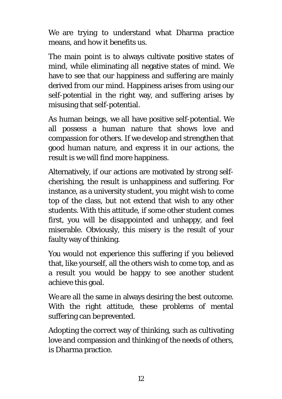We are trying to understand what Dharma practice means, and how it benefits us.

The main point is to always cultivate positive states of mind, while eliminating all negative states of mind. We have to see that our happiness and suffering are mainly derived from our mind. Happiness arises from using our self-potential in the right way, and suffering arises by misusing that self-potential.

As human beings, we all have positive self-potential. We all possess a human nature that shows love and compassion for others. If we develop and strengthen that good human nature, and express it in our actions, the result is we will find more happiness.

Alternatively, if our actions are motivated by strong selfcherishing, the result is unhappiness and suffering. For instance, as a university student, you might wish to come top of the class, but not extend that wish to any other students. With this attitude, if some other student comes first, you will be disappointed and unhappy, and feel miserable. Obviously, this misery is the result of your faulty way of thinking.

You would not experience this suffering if you believed that, like yourself, all the others wish to come top, and as a result you would be happy to see another student achieve this goal.

We are all the same in always desiring the best outcome. With the right attitude, these problems of mental suffering can be prevented.

Adopting the correct way of thinking, such as cultivating love and compassion and thinking of the needs of others, is Dharma practice.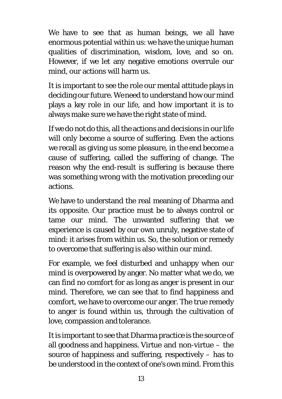We have to see that as human beings, we all have enormous potential within us: we have the unique human qualities of discrimination, wisdom, love, and so on. However, if we let any negative emotions overrule our mind, our actions will harm us.

It is important to see the role our mental attitude plays in deciding our future. We need to understand how our mind plays a key role in our life, and how important it is to always make sure we have the right state of mind.

If we do not do this, all the actions and decisions in our life will only become a source of suffering. Even the actions we recall as giving us some pleasure, in the end become a cause of suffering, called the suffering of change. The reason why the end-result is suffering is because there was something wrong with the motivation preceding our actions.

We have to understand the real meaning of Dharma and its opposite. Our practice must be to always control or tame our mind. The unwanted suffering that we experience is caused by our own unruly, negative state of mind: it arises from within us. So, the solution or remedy to overcome that suffering is also within our mind.

For example, we feel disturbed and unhappy when our mind is overpowered by anger. No matter what we do, we can find no comfort for as long as anger is present in our mind. Therefore, we can see that to find happiness and comfort, we have to overcome our anger. The true remedy to anger is found within us, through the cultivation of love, compassion and tolerance.

It is important to see that Dharma practice is the source of all goodness and happiness. Virtue and non-virtue – the source of happiness and suffering, respectively – has to be understood in the context of one's own mind. From this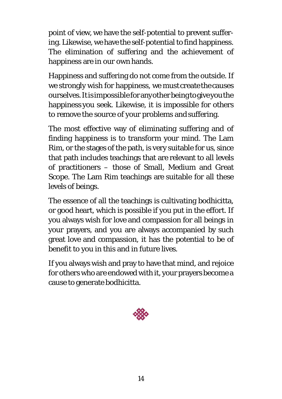point of view, we have the self-potential to prevent suffering. Likewise, we have the self-potential to find happiness. The elimination of suffering and the achievement of happiness are in our own hands.

Happiness and suffering do not come from the outside. If we strongly wish for happiness, we must create the causes ourselves. It is impossible for any other being to give you the happiness you seek. Likewise, it is impossible for others to remove the source of your problems andsuffering.

The most effective way of eliminating suffering and of finding happiness is to transform your mind. The Lam Rim, or the stages of the path, is very suitable for us, since that path includes teachings that are relevant to all levels of practitioners – those of Small, Medium and Great Scope. The Lam Rim teachings are suitable for all these levels of beings.

The essence of all the teachings is cultivating bodhicitta, or good heart, which is possible if you put in the effort. If you always wish for love and compassion for all beings in your prayers, and you are always accompanied by such great love and compassion, it has the potential to be of benefit to you in this and in future lives.

If you always wish and pray to have that mind, and rejoice for others who are endowed with it, your prayers become a cause to generate bodhicitta.

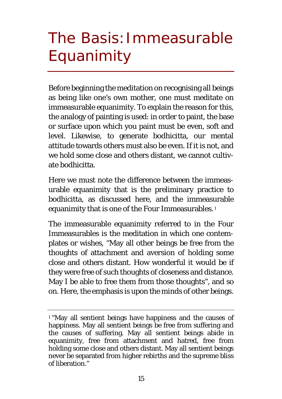# <span id="page-18-0"></span>The Basis: Immeasurable Equanimity

Before beginning the meditation on recognising all beings as being like one's own mother, one must meditate on immeasurable equanimity. To explain the reason for this, the analogy of painting is used: in order to paint, the base or surface upon which you paint must be even, soft and level. Likewise, to generate bodhicitta, our mental attitude towards others must also be even. If it is not, and we hold some close and others distant, we cannot cultivate bodhicitta.

Here we must note the difference between the immeasurable equanimity that is the preliminary practice to bodhicitta, as discussed here, and the immeasurable equanimity that is one of the Four Immeasurables. [1](#page-18-1)

The immeasurable equanimity referred to in the Four Immeasurables is the meditation in which one contemplates or wishes, "May all other beings be free from the thoughts of attachment and aversion of holding some close and others distant. How wonderful it would be if they were free of such thoughts of closeness and distance. May I be able to free them from those thoughts", and so on. Here, the emphasis is upon the minds of other beings.

<span id="page-18-1"></span><sup>1</sup> "May all sentient beings have happiness and the causes of happiness. May all sentient beings be free from suffering and the causes of suffering. May all sentient beings abide in equanimity, free from attachment and hatred, free from holding some close and others distant. May all sentient beings never be separated from higher rebirths and the supreme bliss of liberation."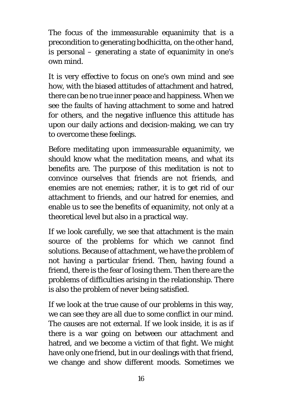The focus of the immeasurable equanimity that is a precondition to generating bodhicitta, on the other hand, is personal – generating a state of equanimity in one's own mind.

It is very effective to focus on one's own mind and see how, with the biased attitudes of attachment and hatred, there can be no true inner peace and happiness. When we see the faults of having attachment to some and hatred for others, and the negative influence this attitude has upon our daily actions and decision-making, we can try to overcome these feelings.

Before meditating upon immeasurable equanimity, we should know what the meditation means, and what its benefits are. The purpose of this meditation is not to convince ourselves that friends are not friends, and enemies are not enemies; rather, it is to get rid of our attachment to friends, and our hatred for enemies, and enable us to see the benefits of equanimity, not only at a theoretical level but also in a practical way.

If we look carefully, we see that attachment is the main source of the problems for which we cannot find solutions. Because of attachment, we have the problem of not having a particular friend. Then, having found a friend, there is the fear of losing them. Then there are the problems of difficulties arising in the relationship. There is also the problem of never being satisfied.

If we look at the true cause of our problems in this way, we can see they are all due to some conflict in our mind. The causes are not external. If we look inside, it is as if there is a war going on between our attachment and hatred, and we become a victim of that fight. We might have only one friend, but in our dealings with that friend, we change and show different moods. Sometimes we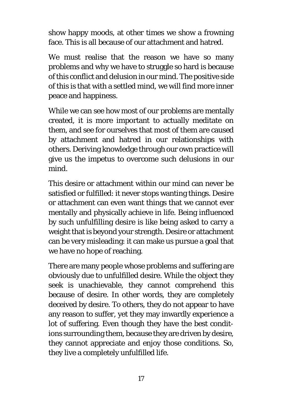show happy moods, at other times we show a frowning face. This is all because of our attachment and hatred.

We must realise that the reason we have so many problems and why we have to struggle so hard is because of this conflict and delusion in our mind. The positive side of this is that with a settled mind, we will find more inner peace and happiness.

While we can see how most of our problems are mentally created, it is more important to actually meditate on them, and see for ourselves that most of them are caused by attachment and hatred in our relationships with others. Deriving knowledge through our own practice will give us the impetus to overcome such delusions in our mind.

This desire or attachment within our mind can never be satisfied or fulfilled: it never stops wanting things. Desire or attachment can even want things that we cannot ever mentally and physically achieve in life. Being influenced by such unfulfilling desire is like being asked to carry a weight that is beyond your strength. Desire or attachment can be very misleading: it can make us pursue a goal that we have no hope of reaching.

There are many people whose problems and suffering are obviously due to unfulfilled desire. While the object they seek is unachievable, they cannot comprehend this because of desire. In other words, they are completely deceived by desire. To others, they do not appear to have any reason to suffer, yet they may inwardly experience a lot of suffering. Even though they have the best conditions surrounding them, because they are driven by desire, they cannot appreciate and enjoy those conditions. So, they live a completely unfulfilled life.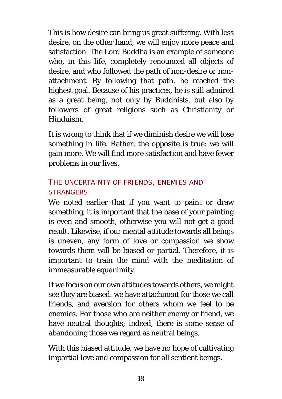This is how desire can bring us great suffering. With less desire, on the other hand, we will enjoy more peace and satisfaction. The Lord Buddha is an example of someone who, in this life, completely renounced all objects of desire, and who followed the path of non-desire or nonattachment. By following that path, he reached the highest goal. Because of his practices, he is still admired as a great being, not only by Buddhists, but also by followers of great religions such as Christianity or Hinduism.

It is wrong to think that if we diminish desire we will lose something in life. Rather, the opposite is true: we will gain more. We will find more satisfaction and have fewer problems in our lives.

### THE UNCERTAINTY OF FRIENDS, ENEMIES AND **STRANGERS**

We noted earlier that if you want to paint or draw something, it is important that the base of your painting is even and smooth, otherwise you will not get a good result. Likewise, if our mental attitude towards all beings is uneven, any form of love or compassion we show towards them will be biased or partial. Therefore, it is important to train the mind with the meditation of immeasurable equanimity.

If we focus on our own attitudes towards others, we might see they are biased: we have attachment for those we call friends, and aversion for others whom we feel to be enemies. For those who are neither enemy or friend, we have neutral thoughts; indeed, there is some sense of abandoning those we regard as neutral beings.

With this biased attitude, we have no hope of cultivating impartial love and compassion for all sentient beings.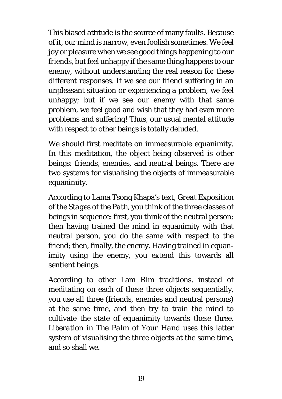This biased attitude is the source of many faults. Because of it, our mind is narrow, even foolish sometimes. We feel joy or pleasure when we see good things happening to our friends, but feel unhappy if the same thing happens to our enemy, without understanding the real reason for these different responses. If we see our friend suffering in an unpleasant situation or experiencing a problem, we feel unhappy; but if we see our enemy with that same problem, we feel good and wish that they had even more problems and suffering! Thus, our usual mental attitude with respect to other beings is totally deluded.

We should first meditate on immeasurable equanimity. In this meditation, the object being observed is other beings: friends, enemies, and neutral beings. There are two systems for visualising the objects of immeasurable equanimity.

According to Lama Tsong Khapa's text, *Great Exposition of the Stages of the Path*, you think of the three classes of beings in sequence: first, you think of the neutral person; then having trained the mind in equanimity with that neutral person, you do the same with respect to the friend; then, finally, the enemy. Having trained in equanimity using the enemy, you extend this towards all sentient beings.

According to other Lam Rim traditions, instead of meditating on each of these three objects sequentially, you use all three (friends, enemies and neutral persons) at the same time, and then try to train the mind to cultivate the state of equanimity towards these three. *Liberation in The Palm of Your Hand* uses this latter system of visualising the three objects at the same time, and so shall we.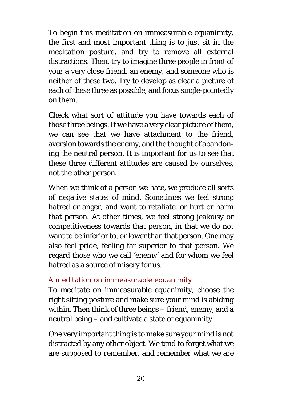To begin this meditation on immeasurable equanimity, the first and most important thing is to just sit in the meditation posture, and try to remove all external distractions. Then, try to imagine three people in front of you: a very close friend, an enemy, and someone who is neither of these two. Try to develop as clear a picture of each of these three as possible, and focus single-pointedly on them.

Check what sort of attitude you have towards each of those three beings. If we have a very clear picture of them, we can see that we have attachment to the friend, aversion towards the enemy, and the thought of abandoning the neutral person. It is important for us to see that these three different attitudes are caused by ourselves, not the other person.

When we think of a person we hate, we produce all sorts of negative states of mind. Sometimes we feel strong hatred or anger, and want to retaliate, or hurt or harm that person. At other times, we feel strong jealousy or competitiveness towards that person, in that we do not want to be inferior to, or lower than that person. One may also feel pride, feeling far superior to that person. We regard those who we call 'enemy' and for whom we feel hatred as a source of misery for us.

#### *A meditation on immeasurable equanimity*

To meditate on immeasurable equanimity, choose the right sitting posture and make sure your mind is abiding within. Then think of three beings – friend, enemy, and a neutral being – and cultivate a state of equanimity.

One very important thing is to make sure your mind is not distracted by any other object. We tend to forget what we are supposed to remember, and remember what we are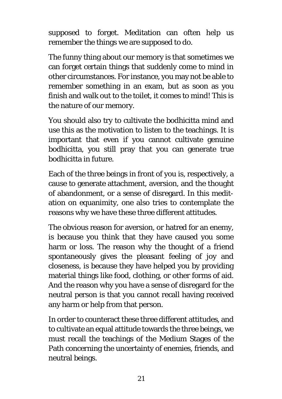supposed to forget. Meditation can often help us remember the things we are supposed to do.

The funny thing about our memory is that sometimes we can forget certain things that suddenly come to mind in other circumstances. For instance, you may not be able to remember something in an exam, but as soon as you finish and walk out to the toilet, it comes to mind! This is the nature of our memory.

You should also try to cultivate the bodhicitta mind and use this as the motivation to listen to the teachings. It is important that even if you cannot cultivate genuine bodhicitta, you still pray that you can generate true bodhicitta in future.

Each of the three beings in front of you is, respectively, a cause to generate attachment, aversion, and the thought of abandonment, or a sense of disregard. In this meditation on equanimity, one also tries to contemplate the reasons why we have these three different attitudes.

The obvious reason for aversion, or hatred for an enemy, is because you think that they have caused you some harm or loss. The reason why the thought of a friend spontaneously gives the pleasant feeling of joy and closeness, is because they have helped you by providing material things like food, clothing, or other forms of aid. And the reason why you have a sense of disregard for the neutral person is that you cannot recall having received any harm or help from that person.

In order to counteract these three different attitudes, and to cultivate an equal attitude towards the three beings, we must recall the teachings of the Medium Stages of the Path concerning the uncertainty of enemies, friends, and neutral beings.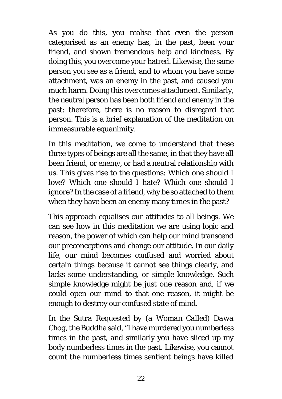As you do this, you realise that even the person categorised as an enemy has, in the past, been your friend, and shown tremendous help and kindness. By doing this, you overcome your hatred. Likewise, the same person you see as a friend, and to whom you have some attachment, was an enemy in the past, and caused you much harm. Doing this overcomes attachment. Similarly, the neutral person has been both friend and enemy in the past; therefore, there is no reason to disregard that person. This is a brief explanation of the meditation on immeasurable equanimity.

In this meditation, we come to understand that these three types of beings are all the same, in that they have all been friend, or enemy, or had a neutral relationship with us. This gives rise to the questions: Which one should I love? Which one should I hate? Which one should I ignore? In the case of a friend, why be so attached to them when they have been an enemy many times in the past?

This approach equalises our attitudes to all beings. We can see how in this meditation we are using logic and reason, the power of which can help our mind transcend our preconceptions and change our attitude. In our daily life, our mind becomes confused and worried about certain things because it cannot see things clearly, and lacks some understanding, or simple knowledge. Such simple knowledge might be just one reason and, if we could open our mind to that one reason, it might be enough to destroy our confused state of mind.

In the *Sutra Requested by (a Woman Called) Dawa Chog*, the Buddha said, "I have murdered you numberless times in the past, and similarly you have sliced up my body numberless times in the past. Likewise, you cannot count the numberless times sentient beings have killed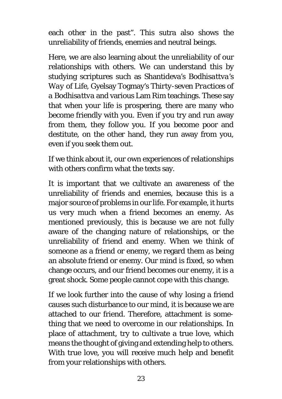each other in the past". This sutra also shows the unreliability of friends, enemies and neutral beings.

Here, we are also learning about the unreliability of our relationships with others. We can understand this by studying scriptures such as Shantideva's *Bodhisattva's Way of Life*, Gyelsay Togmay's *Thirty-seven Practices of a Bodhisattva* and various Lam Rim teachings. These say that when your life is prospering, there are many who become friendly with you. Even if you try and run away from them, they follow you. If you become poor and destitute, on the other hand, they run away from you, even if you seek them out.

If we think about it, our own experiences of relationships with others confirm what the texts say.

It is important that we cultivate an awareness of the unreliability of friends and enemies, because this is a major source of problems in our life. For example, it hurts us very much when a friend becomes an enemy. As mentioned previously, this is because we are not fully aware of the changing nature of relationships, or the unreliability of friend and enemy. When we think of someone as a friend or enemy, we regard them as being an absolute friend or enemy. Our mind is fixed, so when change occurs, and our friend becomes our enemy, it is a great shock. Some people cannot cope with this change.

If we look further into the cause of why losing a friend causes such disturbance to our mind, it is because we are attached to our friend. Therefore, attachment is something that we need to overcome in our relationships. In place of attachment, try to cultivate a true love, which means the thought of giving and extending help to others. With true love, you will receive much help and benefit from your relationships with others.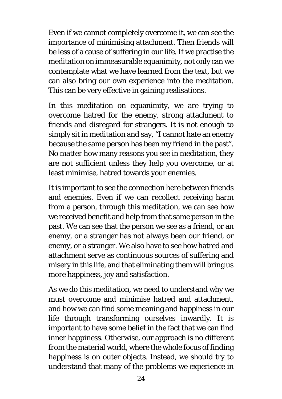Even if we cannot completely overcome it, we can see the importance of minimising attachment. Then friends will be less of a cause of suffering in our life. If we practise the meditation on immeasurable equanimity, not only can we contemplate what we have learned from the text, but we can also bring our own experience into the meditation. This can be very effective in gaining realisations.

In this meditation on equanimity, we are trying to overcome hatred for the enemy, strong attachment to friends and disregard for strangers. It is not enough to simply sit in meditation and say, "I cannot hate an enemy because the same person has been my friend in the past". No matter how many reasons you see in meditation, they are not sufficient unless they help you overcome, or at least minimise, hatred towards your enemies.

It is important to see the connection here between friends and enemies. Even if we can recollect receiving harm from a person, through this meditation, we can see how we received benefit and help from that same person in the past. We can see that the person we see as a friend, or an enemy, or a stranger has not always been our friend, or enemy, or a stranger. We also have to see how hatred and attachment serve as continuous sources of suffering and misery in this life, and that eliminating them will bring us more happiness, joy and satisfaction.

As we do this meditation, we need to understand why we must overcome and minimise hatred and attachment, and how we can find some meaning and happiness in our life through transforming ourselves inwardly. It is important to have some belief in the fact that we can find inner happiness. Otherwise, our approach is no different from the material world, where the whole focus of finding happiness is on outer objects. Instead, we should try to understand that many of the problems we experience in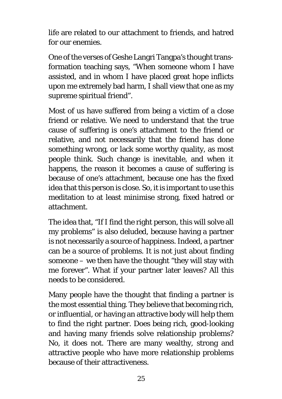life are related to our attachment to friends, and hatred for our enemies.

One of the verses of Geshe Langri Tangpa's thought transformation teaching says, "When someone whom I have assisted, and in whom I have placed great hope inflicts upon me extremely bad harm, I shall view that one as my supreme spiritual friend".

Most of us have suffered from being a victim of a close friend or relative. We need to understand that the true cause of suffering is one's attachment to the friend or relative, and not necessarily that the friend has done something wrong, or lack some worthy quality, as most people think. Such change is inevitable, and when it happens, the reason it becomes a cause of suffering is because of one's attachment, because one has the fixed idea that this person is close. So, it is important to use this meditation to at least minimise strong, fixed hatred or attachment.

The idea that, "If I find the right person, this will solve all my problems" is also deluded, because having a partner is not necessarily a source of happiness. Indeed, a partner can be a source of problems. It is not just about finding someone – we then have the thought "they will stay with me forever". What if your partner later leaves? All this needs to be considered.

Many people have the thought that finding a partner is the most essential thing. They believe that becoming rich, or influential, or having an attractive body will help them to find the right partner. Does being rich, good-looking and having many friends solve relationship problems? No, it does not. There are many wealthy, strong and attractive people who have more relationship problems because of their attractiveness.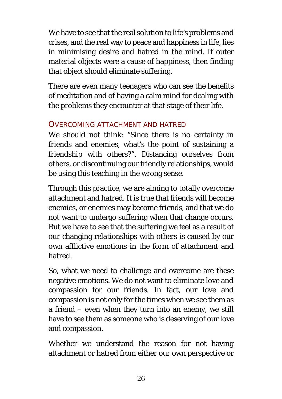We have to see that the real solution to life's problems and crises, and the real way to peace and happiness in life, lies in minimising desire and hatred in the mind. If outer material objects were a cause of happiness, then finding that object should eliminate suffering.

There are even many teenagers who can see the benefits of meditation and of having a calm mind for dealing with the problems they encounter at that stage of their life.

#### OVERCOMING ATTACHMENT AND HATRED

We should not think: "Since there is no certainty in friends and enemies, what's the point of sustaining a friendship with others?". Distancing ourselves from others, or discontinuing our friendly relationships, would be using this teaching in the wrong sense.

Through this practice, we are aiming to totally overcome attachment and hatred. It is true that friends will become enemies, or enemies may become friends, and that we do not want to undergo suffering when that change occurs. But we have to see that the suffering we feel as a result of our changing relationships with others is caused by our own afflictive emotions in the form of attachment and hatred.

So, what we need to challenge and overcome are these negative emotions. We do not want to eliminate love and compassion for our friends. In fact, our love and compassion is not only for the times when we see them as a friend – even when they turn into an enemy, we still have to see them as someone who is deserving of our love and compassion.

Whether we understand the reason for not having attachment or hatred from either our own perspective or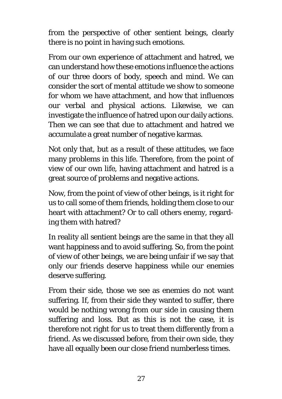from the perspective of other sentient beings, clearly there is no point in having such emotions.

From our own experience of attachment and hatred, we can understand how these emotions influence the actions of our three doors of body, speech and mind. We can consider the sort of mental attitude we show to someone for whom we have attachment, and how that influences our verbal and physical actions. Likewise, we can investigate the influence of hatred upon our daily actions. Then we can see that due to attachment and hatred we accumulate a great number of negative karmas.

Not only that, but as a result of these attitudes, we face many problems in this life. Therefore, from the point of view of our own life, having attachment and hatred is a great source of problems and negative actions.

Now, from the point of view of other beings, is it right for us to call some of them friends, holding them close to our heart with attachment? Or to call others enemy, regarding them with hatred?

In reality all sentient beings are the same in that they all want happiness and to avoid suffering. So, from the point of view of other beings, we are being unfair if we say that only our friends deserve happiness while our enemies deserve suffering.

From their side, those we see as enemies do not want suffering. If, from their side they wanted to suffer, there would be nothing wrong from our side in causing them suffering and loss. But as this is not the case, it is therefore not right for us to treat them differently from a friend. As we discussed before, from their own side, they have all equally been our close friend numberless times.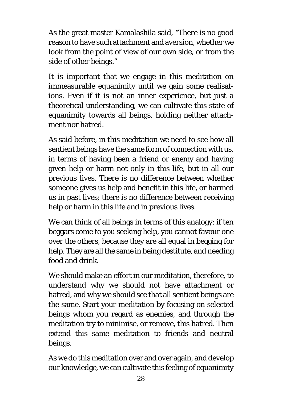As the great master Kamalashila said, "There is no good reason to have such attachment and aversion, whether we look from the point of view of our own side, or from the side of other beings."

It is important that we engage in this meditation on immeasurable equanimity until we gain some realisations. Even if it is not an inner experience, but just a theoretical understanding, we can cultivate this state of equanimity towards all beings, holding neither attachment nor hatred.

As said before, in this meditation we need to see how all sentient beings have the same form of connection with us, in terms of having been a friend or enemy and having given help or harm not only in this life, but in all our previous lives. There is no difference between whether someone gives us help and benefit in this life, or harmed us in past lives; there is no difference between receiving help or harm in this life and in previous lives.

We can think of all beings in terms of this analogy: if ten beggars come to you seeking help, you cannot favour one over the others, because they are all equal in begging for help. They are all the same in being destitute, and needing food and drink.

We should make an effort in our meditation, therefore, to understand why we should not have attachment or hatred, and why we should see that all sentient beings are the same. Start your meditation by focusing on selected beings whom you regard as enemies, and through the meditation try to minimise, or remove, this hatred. Then extend this same meditation to friends and neutral beings.

As we do this meditation over and over again, and develop our knowledge, we can cultivate this feeling of equanimity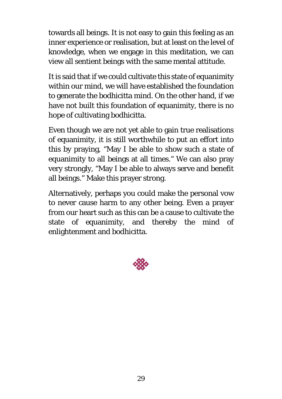towards all beings. It is not easy to gain this feeling as an inner experience or realisation, but at least on the level of knowledge, when we engage in this meditation, we can view all sentient beings with the same mental attitude.

It is said that if we could cultivate this state of equanimity within our mind, we will have established the foundation to generate the bodhicitta mind. On the other hand, if we have not built this foundation of equanimity, there is no hope of cultivating bodhicitta.

Even though we are not yet able to gain true realisations of equanimity, it is still worthwhile to put an effort into this by praying, "May I be able to show such a state of equanimity to all beings at all times." We can also pray very strongly, "May I be able to always serve and benefit all beings." Make this prayer strong.

Alternatively, perhaps you could make the personal vow to never cause harm to any other being. Even a prayer from our heart such as this can be a cause to cultivate the state of equanimity, and thereby the mind of enlightenment and bodhicitta.

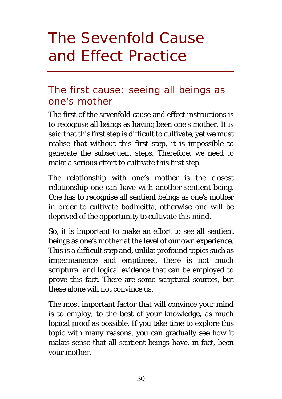# <span id="page-33-0"></span>The Sevenfold Cause and Effect Practice

### <span id="page-33-1"></span>The first cause: seeing all beings as one's mother

The first of the sevenfold cause and effect instructions is to recognise all beings as having been one's mother. It is said that this first step is difficult to cultivate, yet we must realise that without this first step, it is impossible to generate the subsequent steps. Therefore, we need to make a serious effort to cultivate this first step.

The relationship with one's mother is the closest relationship one can have with another sentient being. One has to recognise all sentient beings as one's mother in order to cultivate bodhicitta, otherwise one will be deprived of the opportunity to cultivate this mind.

So, it is important to make an effort to see all sentient beings as one's mother at the level of our own experience. This is a difficult step and, unlike profound topics such as impermanence and emptiness, there is not much scriptural and logical evidence that can be employed to prove this fact. There are some scriptural sources, but these alone will not convince us.

The most important factor that will convince your mind is to employ, to the best of your knowledge, as much logical proof as possible. If you take time to explore this topic with many reasons, you can gradually see how it makes sense that all sentient beings have, in fact, been your mother.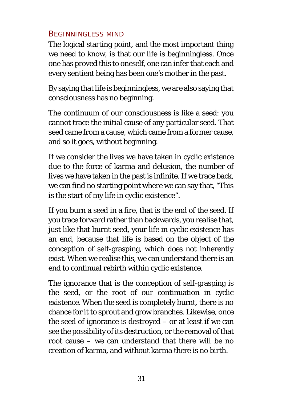### BEGINNINGLESS MIND

The logical starting point, and the most important thing we need to know, is that our life is beginningless. Once one has proved this to oneself, one can infer that each and every sentient being has been one's mother in the past.

By saying that life is beginningless, we are also saying that consciousness has no beginning.

The continuum of our consciousness is like a seed: you cannot trace the initial cause of any particular seed. That seed came from a cause, which came from a former cause, and so it goes, without beginning.

If we consider the lives we have taken in cyclic existence due to the force of karma and delusion, the number of lives we have taken in the past is infinite. If we trace back, we can find no starting point where we can say that, "This is the start of my life in cyclic existence".

If you burn a seed in a fire, that is the end of the seed. If you trace forward rather than backwards, you realise that, just like that burnt seed, your life in cyclic existence has an end, because that life is based on the object of the conception of self-grasping, which does not inherently exist. When we realise this, we can understand there is an end to continual rebirth within cyclic existence.

The ignorance that is the conception of self-grasping is the seed, or the root of our continuation in cyclic existence. When the seed is completely burnt, there is no chance for it to sprout and grow branches. Likewise, once the seed of ignorance is destroyed – or at least if we can see the possibility of its destruction, or the removal of that root cause – we can understand that there will be no creation of karma, and without karma there is no birth.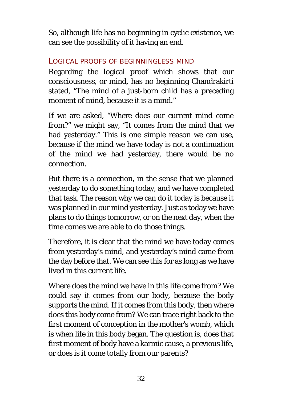So, although life has no beginning in cyclic existence, we can see the possibility of it having an end.

#### LOGICAL PROOFS OF BEGINNINGLESS MIND

Regarding the logical proof which shows that our consciousness, or mind, has no beginning Chandrakirti stated, "The mind of a just-born child has a preceding moment of mind, because it is a mind."

If we are asked, "Where does our current mind come from?" we might say, "It comes from the mind that we had yesterday." This is one simple reason we can use, because if the mind we have today is not a continuation of the mind we had yesterday, there would be no connection.

But there is a connection, in the sense that we planned yesterday to do something today, and we have completed that task. The reason why we can do it today is because it was planned in our mind yesterday. Just as today we have plans to do things tomorrow, or on the next day, when the time comes we are able to do those things.

Therefore, it is clear that the mind we have today comes from yesterday's mind, and yesterday's mind came from the day before that. We can see this for as long as we have lived in this current life.

Where does the mind we have in this life come from? We could say it comes from our body, because the body supports the mind. If it comes from this body, then where does this body come from? We can trace right back to the first moment of conception in the mother's womb, which is when life in this body began. The question is, does that first moment of body have a karmic cause, a previous life, or does is it come totally from our parents?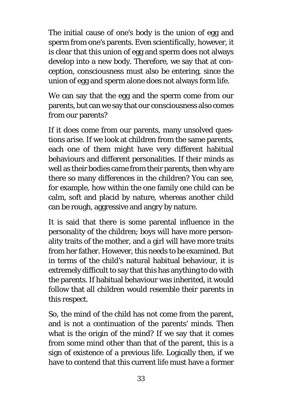The initial cause of one's body is the union of egg and sperm from one's parents. Even scientifically, however, it is clear that this union of egg and sperm does not always develop into a new body. Therefore, we say that at conception, consciousness must also be entering, since the union of egg and sperm alone does not always form life.

We can say that the egg and the sperm come from our parents, but can we say that our consciousness also comes from our parents?

If it does come from our parents, many unsolved questions arise. If we look at children from the same parents, each one of them might have very different habitual behaviours and different personalities. If their minds as well as their bodies came from their parents, then why are there so many differences in the children? You can see, for example, how within the one family one child can be calm, soft and placid by nature, whereas another child can be rough, aggressive and angry by nature.

It is said that there is some parental influence in the personality of the children; boys will have more personality traits of the mother, and a girl will have more traits from her father. However, this needs to be examined. But in terms of the child's natural habitual behaviour, it is extremely difficult to say that this has anything to do with the parents. If habitual behaviour was inherited, it would follow that all children would resemble their parents in this respect.

So, the mind of the child has not come from the parent, and is not a continuation of the parents' minds. Then what is the origin of the mind? If we say that it comes from some mind other than that of the parent, this is a sign of existence of a previous life. Logically then, if we have to contend that this current life must have a former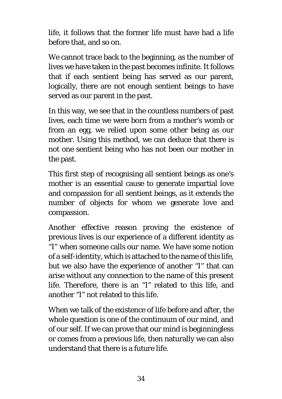life, it follows that the former life must have had a life before that, and so on.

We cannot trace back to the beginning, as the number of lives we have taken in the past becomes infinite. It follows that if each sentient being has served as our parent, logically, there are not enough sentient beings to have served as our parent in the past.

In this way, we see that in the countless numbers of past lives, each time we were born from a mother's womb or from an egg, we relied upon some other being as our mother. Using this method, we can deduce that there is not one sentient being who has not been our mother in the past.

This first step of recognising all sentient beings as one's mother is an essential cause to generate impartial love and compassion for all sentient beings, as it extends the number of objects for whom we generate love and compassion.

Another effective reason proving the existence of previous lives is our experience of a different identity as "I" when someone calls our name. We have some notion of a self-identity, which is attached to the name of this life, but we also have the experience of another "I" that can arise without any connection to the name of this present life. Therefore, there is an "I" related to this life, and another "I" not related to this life.

When we talk of the existence of life before and after, the whole question is one of the continuum of our mind, and of our self. If we can prove that our mind is beginningless or comes from a previous life, then naturally we can also understand that there is a future life.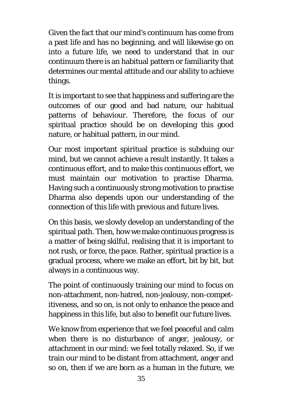Given the fact that our mind's continuum has come from a past life and has no beginning, and will likewise go on into a future life, we need to understand that in our continuum there is an habitual pattern or familiarity that determines our mental attitude and our ability to achieve things.

It is important to see that happiness and suffering are the outcomes of our good and bad nature, our habitual patterns of behaviour. Therefore, the focus of our spiritual practice should be on developing this good nature, or habitual pattern, in our mind.

Our most important spiritual practice is subduing our mind, but we cannot achieve a result instantly. It takes a continuous effort, and to make this continuous effort, we must maintain our motivation to practise Dharma. Having such a continuously strong motivation to practise Dharma also depends upon our understanding of the connection of this life with previous and future lives.

On this basis, we slowly develop an understanding of the spiritual path. Then, how we make continuous progress is a matter of being skilful, realising that it is important to not rush, or force, the pace. Rather, spiritual practice is a gradual process, where we make an effort, bit by bit, but always in a continuous way.

The point of continuously training our mind to focus on non-attachment, non-hatred, non-jealousy, non-competitiveness, and so on, is not only to enhance the peace and happiness in this life, but also to benefit our future lives.

We know from experience that we feel peaceful and calm when there is no disturbance of anger, jealousy, or attachment in our mind: we feel totally relaxed. So, if we train our mind to be distant from attachment, anger and so on, then if we are born as a human in the future, we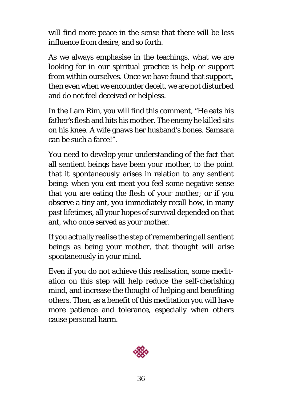will find more peace in the sense that there will be less influence from desire, and so forth.

As we always emphasise in the teachings, what we are looking for in our spiritual practice is help or support from within ourselves. Once we have found that support, then even when we encounter deceit, we are not disturbed and do not feel deceived or helpless.

In the Lam Rim, you will find this comment, "He eats his father's flesh and hits his mother. The enemy he killed sits on his knee. A wife gnaws her husband's bones. Samsara can be such a farce!".

You need to develop your understanding of the fact that all sentient beings have been your mother, to the point that it spontaneously arises in relation to any sentient being: when you eat meat you feel some negative sense that you are eating the flesh of your mother; or if you observe a tiny ant, you immediately recall how, in many past lifetimes, all your hopes of survival depended on that ant, who once served as your mother.

If you actually realise the step of remembering all sentient beings as being your mother, that thought will arise spontaneously in your mind.

Even if you do not achieve this realisation, some meditation on this step will help reduce the self-cherishing mind, and increase the thought of helping and benefiting others. Then, as a benefit of this meditation you will have more patience and tolerance, especially when others cause personal harm.

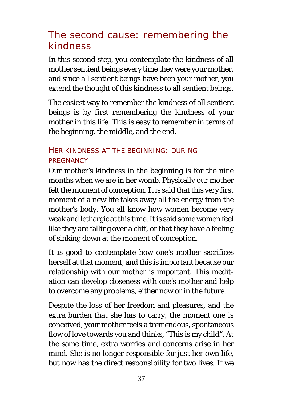# The second cause: remembering the kindness

In this second step, you contemplate the kindness of all mother sentient beings every time they were your mother, and since all sentient beings have been your mother, you extend the thought of this kindness to all sentient beings.

The easiest way to remember the kindness of all sentient beings is by first remembering the kindness of your mother in this life. This is easy to remember in terms of the beginning, the middle, and the end.

### HER KINDNESS AT THE BEGINNING: DURING **PREGNANCY**

Our mother's kindness in the beginning is for the nine months when we are in her womb. Physically our mother felt the moment of conception. It is said that this very first moment of a new life takes away all the energy from the mother's body. You all know how women become very weak and lethargic at this time. It is said some women feel like they are falling over a cliff, or that they have a feeling of sinking down at the moment of conception.

It is good to contemplate how one's mother sacrifices herself at that moment, and this is important because our relationship with our mother is important. This meditation can develop closeness with one's mother and help to overcome any problems, either now or in the future.

Despite the loss of her freedom and pleasures, and the extra burden that she has to carry, the moment one is conceived, your mother feels a tremendous, spontaneous flow of love towards you and thinks, "This is my child". At the same time, extra worries and concerns arise in her mind. She is no longer responsible for just her own life, but now has the direct responsibility for two lives. If we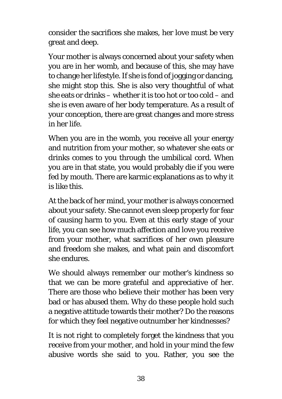consider the sacrifices she makes, her love must be very great and deep.

Your mother is always concerned about your safety when you are in her womb, and because of this, she may have to change her lifestyle. If she is fond of jogging or dancing, she might stop this. She is also very thoughtful of what she eats or drinks – whether it is too hot or too cold – and she is even aware of her body temperature. As a result of your conception, there are great changes and more stress in her life.

When you are in the womb, you receive all your energy and nutrition from your mother, so whatever she eats or drinks comes to you through the umbilical cord. When you are in that state, you would probably die if you were fed by mouth. There are karmic explanations as to why it is like this.

At the back of her mind, your mother is always concerned about your safety. She cannot even sleep properly for fear of causing harm to you. Even at this early stage of your life, you can see how much affection and love you receive from your mother, what sacrifices of her own pleasure and freedom she makes, and what pain and discomfort she endures.

We should always remember our mother's kindness so that we can be more grateful and appreciative of her. There are those who believe their mother has been very bad or has abused them. Why do these people hold such a negative attitude towards their mother? Do the reasons for which they feel negative outnumber her kindnesses?

It is not right to completely forget the kindness that you receive from your mother, and hold in your mind the few abusive words she said to you. Rather, you see the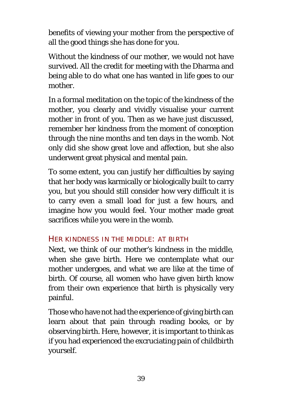benefits of viewing your mother from the perspective of all the good things she has done for you.

Without the kindness of our mother, we would not have survived. All the credit for meeting with the Dharma and being able to do what one has wanted in life goes to our mother.

In a formal meditation on the topic of the kindness of the mother, you clearly and vividly visualise your current mother in front of you. Then as we have just discussed, remember her kindness from the moment of conception through the nine months and ten days in the womb. Not only did she show great love and affection, but she also underwent great physical and mental pain.

To some extent, you can justify her difficulties by saying that her body was karmically or biologically built to carry you, but you should still consider how very difficult it is to carry even a small load for just a few hours, and imagine how you would feel. Your mother made great sacrifices while you were in the womb.

#### HER KINDNESS IN THE MIDDLE: AT BIRTH

Next, we think of our mother's kindness in the middle, when she gave birth. Here we contemplate what our mother undergoes, and what we are like at the time of birth. Of course, all women who have given birth know from their own experience that birth is physically very painful.

Those who have not had the experience of giving birth can learn about that pain through reading books, or by observing birth. Here, however, it is important to think as if you had experienced the excruciating pain of childbirth yourself.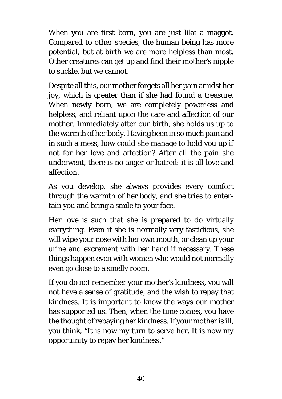When you are first born, you are just like a maggot. Compared to other species, the human being has more potential, but at birth we are more helpless than most. Other creatures can get up and find their mother's nipple to suckle, but we cannot.

Despite all this, our mother forgets all her pain amidst her joy, which is greater than if she had found a treasure. When newly born, we are completely powerless and helpless, and reliant upon the care and affection of our mother. Immediately after our birth, she holds us up to the warmth of her body. Having been in so much pain and in such a mess, how could she manage to hold you up if not for her love and affection? After all the pain she underwent, there is no anger or hatred: it is all love and affection.

As you develop, she always provides every comfort through the warmth of her body, and she tries to entertain you and bring a smile to your face.

Her love is such that she is prepared to do virtually everything. Even if she is normally very fastidious, she will wipe your nose with her own mouth, or clean up your urine and excrement with her hand if necessary. These things happen even with women who would not normally even go close to a smelly room.

If you do not remember your mother's kindness, you will not have a sense of gratitude, and the wish to repay that kindness. It is important to know the ways our mother has supported us. Then, when the time comes, you have the thought of repaying her kindness. If your mother is ill, you think, "It is now my turn to serve her. It is now my opportunity to repay her kindness."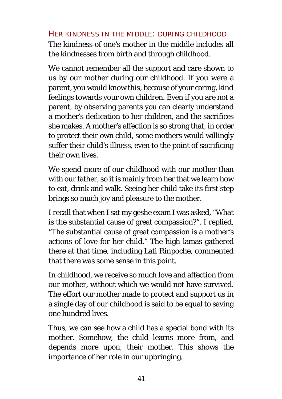#### HER KINDNESS IN THE MIDDLE: DURING CHILDHOOD

The kindness of one's mother in the middle includes all the kindnesses from birth and through childhood.

We cannot remember all the support and care shown to us by our mother during our childhood. If you were a parent, you would know this, because of your caring, kind feelings towards your own children. Even if you are not a parent, by observing parents you can clearly understand a mother's dedication to her children, and the sacrifices she makes. A mother's affection is so strong that, in order to protect their own child, some mothers would willingly suffer their child's illness, even to the point of sacrificing their own lives.

We spend more of our childhood with our mother than with our father, so it is mainly from her that we learn how to eat, drink and walk. Seeing her child take its first step brings so much joy and pleasure to the mother.

I recall that when I sat my geshe exam I was asked, "What is the substantial cause of great compassion?". I replied, "The substantial cause of great compassion is a mother's actions of love for her child." The high lamas gathered there at that time, including Lati Rinpoche, commented that there was some sense in this point.

In childhood, we receive so much love and affection from our mother, without which we would not have survived. The effort our mother made to protect and support us in a single day of our childhood is said to be equal to saving one hundred lives.

Thus, we can see how a child has a special bond with its mother. Somehow, the child learns more from, and depends more upon, their mother. This shows the importance of her role in our upbringing.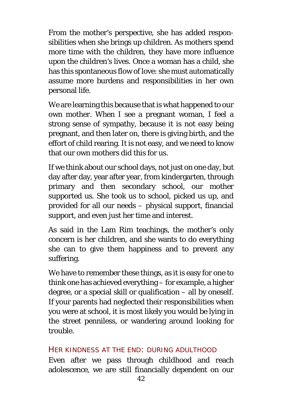From the mother's perspective, she has added responsibilities when she brings up children. As mothers spend more time with the children, they have more influence upon the children's lives. Once a woman has a child, she has this spontaneous flow of love: she must automatically assume more burdens and responsibilities in her own personal life.

We are learning this because that is what happened to our own mother. When I see a pregnant woman, I feel a strong sense of sympathy, because it is not easy being pregnant, and then later on, there is giving birth, and the effort of child rearing. It is not easy, and we need to know that our own mothers did this for us.

If we think about our school days, not just on one day, but day after day, year after year, from kindergarten, through primary and then secondary school, our mother supported us. She took us to school, picked us up, and provided for all our needs – physical support, financial support, and even just her time and interest.

As said in the Lam Rim teachings, the mother's only concern is her children, and she wants to do everything she can to give them happiness and to prevent any suffering.

We have to remember these things, as it is easy for one to think one has achieved everything – for example, a higher degree, or a special skill or qualification – all by oneself. If your parents had neglected their responsibilities when you were at school, it is most likely you would be lying in the street penniless, or wandering around looking for trouble.

#### HER KINDNESS AT THE END: DURING ADULTHOOD

Even after we pass through childhood and reach adolescence, we are still financially dependent on our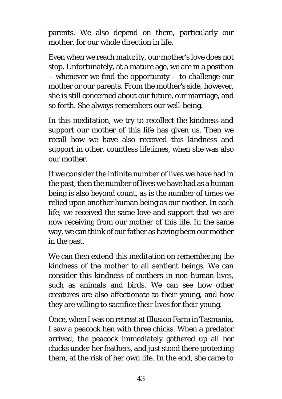parents. We also depend on them, particularly our mother, for our whole direction in life.

Even when we reach maturity, our mother's love does not stop. Unfortunately, at a mature age, we are in a position – whenever we find the opportunity – to challenge our mother or our parents. From the mother's side, however, she is still concerned about our future, our marriage, and so forth. She always remembers our well-being.

In this meditation, we try to recollect the kindness and support our mother of this life has given us. Then we recall how we have also received this kindness and support in other, countless lifetimes, when she was also our mother.

If we consider the infinite number of lives we have had in the past, then the number of lives we have had as a human being is also beyond count, as is the number of times we relied upon another human being as our mother. In each life, we received the same love and support that we are now receiving from our mother of this life. In the same way, we can think of our father as having been our mother in the past.

We can then extend this meditation on remembering the kindness of the mother to all sentient beings. We can consider this kindness of mothers in non-human lives, such as animals and birds. We can see how other creatures are also affectionate to their young, and how they are willing to sacrifice their lives for their young.

Once, when I was on retreat at Illusion Farm in Tasmania, I saw a peacock hen with three chicks. When a predator arrived, the peacock immediately gathered up all her chicks under her feathers, and just stood there protecting them, at the risk of her own life. In the end, she came to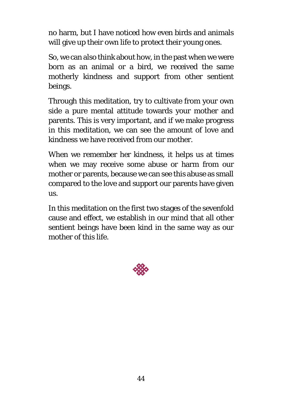no harm, but I have noticed how even birds and animals will give up their own life to protect their young ones.

So, we can also think about how, in the past when we were born as an animal or a bird, we received the same motherly kindness and support from other sentient beings.

Through this meditation, try to cultivate from your own side a pure mental attitude towards your mother and parents. This is very important, and if we make progress in this meditation, we can see the amount of love and kindness we have received from our mother.

When we remember her kindness, it helps us at times when we may receive some abuse or harm from our mother or parents, because we can see this abuse as small compared to the love and support our parents have given us.

In this meditation on the first two stages of the sevenfold cause and effect, we establish in our mind that all other sentient beings have been kind in the same way as our mother of this life.

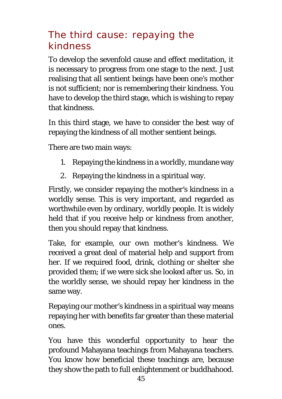# The third cause: repaying the kindness

To develop the sevenfold cause and effect meditation, it is necessary to progress from one stage to the next. Just realising that all sentient beings have been one's mother is not sufficient; nor is remembering their kindness. You have to develop the third stage, which is wishing to repay that kindness.

In this third stage, we have to consider the best way of repaying the kindness of all mother sentient beings.

There are two main ways:

- 1. Repaying the kindness in a worldly, mundane way
- 2. Repaying the kindness in a spiritual way.

Firstly, we consider repaying the mother's kindness in a worldly sense. This is very important, and regarded as worthwhile even by ordinary, worldly people. It is widely held that if you receive help or kindness from another, then you should repay that kindness.

Take, for example, our own mother's kindness. We received a great deal of material help and support from her. If we required food, drink, clothing or shelter she provided them; if we were sick she looked after us. So, in the worldly sense, we should repay her kindness in the same way.

Repaying our mother's kindness in a spiritual way means repaying her with benefits far greater than these material ones.

You have this wonderful opportunity to hear the profound Mahayana teachings from Mahayana teachers. You know how beneficial these teachings are, because they show the path to full enlightenment or buddhahood.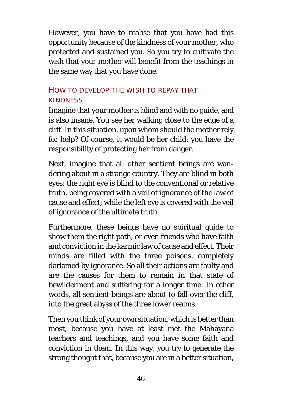However, you have to realise that you have had this opportunity because of the kindness of your mother, who protected and sustained you. So you try to cultivate the wish that your mother will benefit from the teachings in the same way that you have done.

## HOW TO DEVELOP THE WISH TO REPAY THAT **KINDNESS**

Imagine that your mother is blind and with no guide, and is also insane. You see her walking close to the edge of a cliff. In this situation, upon whom should the mother rely for help? Of course, it would be her child: you have the responsibility of protecting her from danger.

Next, imagine that all other sentient beings are wandering about in a strange country. They are blind in both eyes: the right eye is blind to the conventional or relative truth, being covered with a veil of ignorance of the law of cause and effect; while the left eye is covered with the veil of ignorance of the ultimate truth.

Furthermore, these beings have no spiritual guide to show them the right path, or even friends who have faith and conviction in the karmic law of cause and effect. Their minds are filled with the three poisons, completely darkened by ignorance. So all their actions are faulty and are the causes for them to remain in that state of bewilderment and suffering for a longer time. In other words, all sentient beings are about to fall over the cliff, into the great abyss of the three lower realms.

Then you think of your own situation, which is better than most, because you have at least met the Mahayana teachers and teachings, and you have some faith and conviction in them. In this way, you try to generate the strong thought that, because you are in a better situation,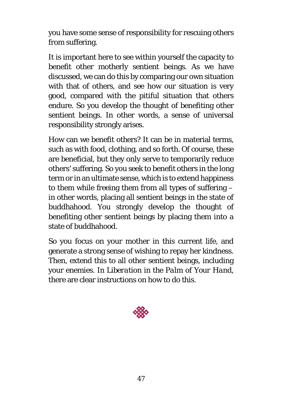you have some sense of responsibility for rescuing others from suffering.

It is important here to see within yourself the capacity to benefit other motherly sentient beings. As we have discussed, we can do this by comparing our own situation with that of others, and see how our situation is very good, compared with the pitiful situation that others endure. So you develop the thought of benefiting other sentient beings. In other words, a sense of universal responsibility strongly arises.

How can we benefit others? It can be in material terms, such as with food, clothing, and so forth. Of course, these are beneficial, but they only serve to temporarily reduce others' suffering. So you seek to benefit others in the long term or in an ultimate sense, which is to extend happiness to them while freeing them from all types of suffering – in other words, placing all sentient beings in the state of buddhahood. You strongly develop the thought of benefiting other sentient beings by placing them into a state of buddhahood.

So you focus on your mother in this current life, and generate a strong sense of wishing to repay her kindness. Then, extend this to all other sentient beings, including your enemies. In *Liberation in the Palm of Your Hand*, there are clear instructions on how to do this.

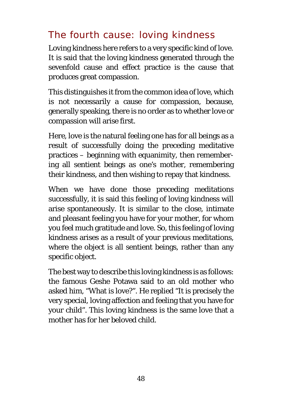# The fourth cause: loving kindness

Loving kindness here refers to a very specific kind of love. It is said that the loving kindness generated through the sevenfold cause and effect practice is the cause that produces great compassion.

This distinguishes it from the common idea of love, which is not necessarily a cause for compassion, because, generally speaking, there is no order as to whether love or compassion will arise first.

Here, love is the natural feeling one has for all beings as a result of successfully doing the preceding meditative practices – beginning with equanimity, then remembering all sentient beings as one's mother, remembering their kindness, and then wishing to repay that kindness.

When we have done those preceding meditations successfully, it is said this feeling of loving kindness will arise spontaneously. It is similar to the close, intimate and pleasant feeling you have for your mother, for whom you feel much gratitude and love. So, this feeling of loving kindness arises as a result of your previous meditations, where the object is all sentient beings, rather than any specific object.

The best way to describe this loving kindness is as follows: the famous Geshe Potawa said to an old mother who asked him, "What is love?". He replied "It is precisely the very special, loving affection and feeling that you have for your child". This loving kindness is the same love that a mother has for her beloved child.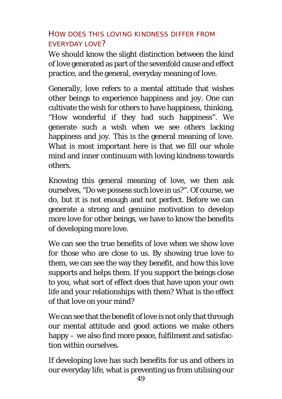## HOW DOES THIS LOVING KINDNESS DIFFER FROM EVERYDAY LOVE?

We should know the slight distinction between the kind of love generated as part of the sevenfold cause and effect practice, and the general, everyday meaning of love.

Generally, love refers to a mental attitude that wishes other beings to experience happiness and joy. One can cultivate the wish for others to have happiness, thinking, "How wonderful if they had such happiness". We generate such a wish when we see others lacking happiness and joy. This is the general meaning of love. What is most important here is that we fill our whole mind and inner continuum with loving kindness towards others.

Knowing this general meaning of love, we then ask ourselves, "Do we possess such love in us?". Of course, we do, but it is not enough and not perfect. Before we can generate a strong and genuine motivation to develop more love for other beings, we have to know the benefits of developing more love.

We can see the true benefits of love when we show love for those who are close to us. By showing true love to them, we can see the way they benefit, and how this love supports and helps them. If you support the beings close to you, what sort of effect does that have upon your own life and your relationships with them? What is the effect of that love on your mind?

We can see that the benefit of love is not only that through our mental attitude and good actions we make others happy – we also find more peace, fulfilment and satisfaction within ourselves.

If developing love has such benefits for us and others in our everyday life, what is preventing us from utilising our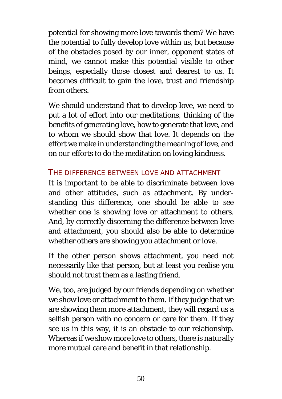potential for showing more love towards them? We have the potential to fully develop love within us, but because of the obstacles posed by our inner, opponent states of mind, we cannot make this potential visible to other beings, especially those closest and dearest to us. It becomes difficult to gain the love, trust and friendship from others.

We should understand that to develop love, we need to put a lot of effort into our meditations, thinking of the benefits of generating love, how to generate that love, and to whom we should show that love. It depends on the effort we make in understanding the meaning of love, and on our efforts to do the meditation on loving kindness.

### THE DIFFERENCE BETWEEN LOVE AND ATTACHMENT

It is important to be able to discriminate between love and other attitudes, such as attachment. By understanding this difference, one should be able to see whether one is showing love or attachment to others. And, by correctly discerning the difference between love and attachment, you should also be able to determine whether others are showing you attachment or love.

If the other person shows attachment, you need not necessarily like that person, but at least you realise you should not trust them as a lasting friend.

We, too, are judged by our friends depending on whether we show love or attachment to them. If they judge that we are showing them more attachment, they will regard us a selfish person with no concern or care for them. If they see us in this way, it is an obstacle to our relationship. Whereas if we show more love to others, there is naturally more mutual care and benefit in that relationship.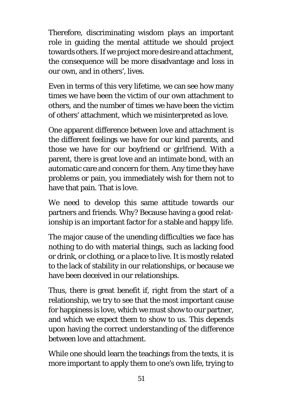Therefore, discriminating wisdom plays an important role in guiding the mental attitude we should project towards others. If we project more desire and attachment, the consequence will be more disadvantage and loss in our own, and in others', lives.

Even in terms of this very lifetime, we can see how many times we have been the victim of our own attachment to others, and the number of times we have been the victim of others' attachment, which we misinterpreted as love.

One apparent difference between love and attachment is the different feelings we have for our kind parents, and those we have for our boyfriend or girlfriend. With a parent, there is great love and an intimate bond, with an automatic care and concern for them. Any time they have problems or pain, you immediately wish for them not to have that pain. That is love.

We need to develop this same attitude towards our partners and friends. Why? Because having a good relationship is an important factor for a stable and happy life.

The major cause of the unending difficulties we face has nothing to do with material things, such as lacking food or drink, or clothing, or a place to live. It is mostly related to the lack of stability in our relationships, or because we have been deceived in our relationships.

Thus, there is great benefit if, right from the start of a relationship, we try to see that the most important cause for happiness is love, which we must show to our partner, and which we expect them to show to us. This depends upon having the correct understanding of the difference between love and attachment.

While one should learn the teachings from the texts, it is more important to apply them to one's own life, trying to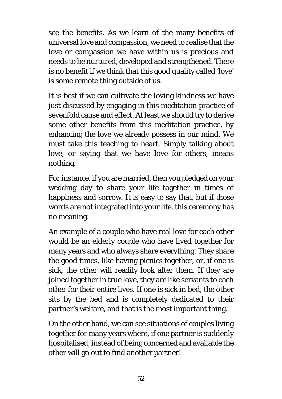see the benefits. As we learn of the many benefits of universal love and compassion, we need to realise that the love or compassion we have within us is precious and needs to be nurtured, developed and strengthened. There is no benefit if we think that this good quality called 'love' is some remote thing outside of us.

It is best if we can cultivate the loving kindness we have just discussed by engaging in this meditation practice of sevenfold cause and effect. At least we should try to derive some other benefits from this meditation practice, by enhancing the love we already possess in our mind. We must take this teaching to heart. Simply talking about love, or saying that we have love for others, means nothing.

For instance, if you are married, then you pledged on your wedding day to share your life together in times of happiness and sorrow. It is easy to say that, but if those words are not integrated into your life, this ceremony has no meaning.

An example of a couple who have real love for each other would be an elderly couple who have lived together for many years and who always share everything. They share the good times, like having picnics together, or, if one is sick, the other will readily look after them. If they are joined together in true love, they are like servants to each other for their entire lives. If one is sick in bed, the other sits by the bed and is completely dedicated to their partner's welfare, and that is the most important thing.

On the other hand, we can see situations of couples living together for many years where, if one partner is suddenly hospitalised, instead of being concerned and available the other will go out to find another partner!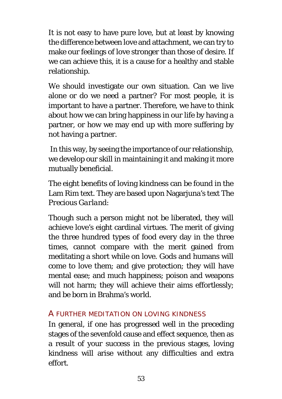It is not easy to have pure love, but at least by knowing the difference between love and attachment, we can try to make our feelings of love stronger than those of desire. If we can achieve this, it is a cause for a healthy and stable relationship.

We should investigate our own situation. Can we live alone or do we need a partner? For most people, it is important to have a partner. Therefore, we have to think about how we can bring happiness in our life by having a partner, or how we may end up with more suffering by not having a partner.

In this way, by seeing the importance of our relationship, we develop our skill in maintaining it and making it more mutually beneficial.

The eight benefits of loving kindness can be found in the Lam Rim text. They are based upon Nagarjuna's text *The Precious Garland*:

Though such a person might not be liberated, they will achieve love's eight cardinal virtues. The merit of giving the three hundred types of food every day in the three times, cannot compare with the merit gained from meditating a short while on love. Gods and humans will come to love them; and give protection; they will have mental ease; and much happiness; poison and weapons will not harm; they will achieve their aims effortlessly; and be born in Brahma's world.

#### A FURTHER MEDITATION ON LOVING KINDNESS

In general, if one has progressed well in the preceding stages of the sevenfold cause and effect sequence, then as a result of your success in the previous stages, loving kindness will arise without any difficulties and extra effort.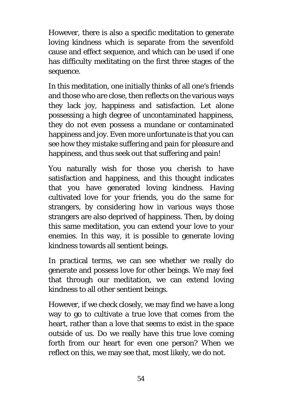However, there is also a specific meditation to generate loving kindness which is separate from the sevenfold cause and effect sequence, and which can be used if one has difficulty meditating on the first three stages of the sequence.

In this meditation, one initially thinks of all one's friends and those who are close, then reflects on the various ways they lack joy, happiness and satisfaction. Let alone possessing a high degree of uncontaminated happiness, they do not even possess a mundane or contaminated happiness and joy. Even more unfortunate is that you can see how they mistake suffering and pain for pleasure and happiness, and thus seek out that suffering and pain!

You naturally wish for those you cherish to have satisfaction and happiness, and this thought indicates that you have generated loving kindness. Having cultivated love for your friends, you do the same for strangers, by considering how in various ways those strangers are also deprived of happiness. Then, by doing this same meditation, you can extend your love to your enemies. In this way, it is possible to generate loving kindness towards all sentient beings.

In practical terms, we can see whether we really do generate and possess love for other beings. We may feel that through our meditation, we can extend loving kindness to all other sentient beings.

However, if we check closely, we may find we have a long way to go to cultivate a true love that comes from the heart, rather than a love that seems to exist in the space outside of us. Do we really have this true love coming forth from our heart for even one person? When we reflect on this, we may see that, most likely, we do not.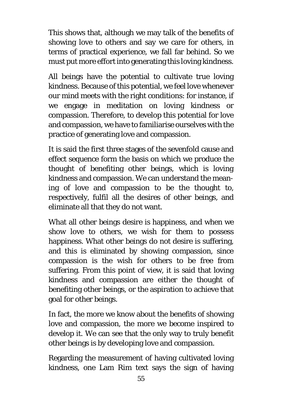This shows that, although we may talk of the benefits of showing love to others and say we care for others, in terms of practical experience, we fall far behind. So we must put more effort into generating this loving kindness.

All beings have the potential to cultivate true loving kindness. Because of this potential, we feel love whenever our mind meets with the right conditions: for instance, if we engage in meditation on loving kindness or compassion. Therefore, to develop this potential for love and compassion, we have to familiarise ourselves with the practice of generating love and compassion.

It is said the first three stages of the sevenfold cause and effect sequence form the basis on which we produce the thought of benefiting other beings, which is loving kindness and compassion. We can understand the meaning of love and compassion to be the thought to, respectively, fulfil all the desires of other beings, and eliminate all that they do not want.

What all other beings desire is happiness, and when we show love to others, we wish for them to possess happiness. What other beings do not desire is suffering. and this is eliminated by showing compassion, since compassion is the wish for others to be free from suffering. From this point of view, it is said that loving kindness and compassion are either the thought of benefiting other beings, or the aspiration to achieve that goal for other beings.

In fact, the more we know about the benefits of showing love and compassion, the more we become inspired to develop it. We can see that the only way to truly benefit other beings is by developing love and compassion.

Regarding the measurement of having cultivated loving kindness, one Lam Rim text says the sign of having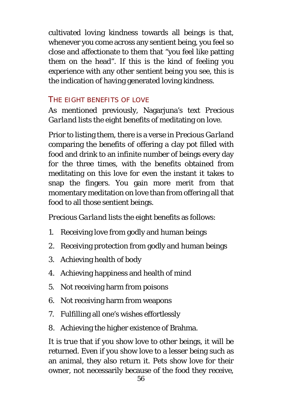cultivated loving kindness towards all beings is that, whenever you come across any sentient being, you feel so close and affectionate to them that "you feel like patting them on the head". If this is the kind of feeling you experience with any other sentient being you see, this is the indication of having generated loving kindness.

## THE FIGHT BENEFITS OF LOVE

As mentioned previously, Nagarjuna's text *Precious Garland* lists the eight benefits of meditating on love.

Prior to listing them, there is a verse in *Precious Garland* comparing the benefits of offering a clay pot filled with food and drink to an infinite number of beings every day for the three times, with the benefits obtained from meditating on this love for even the instant it takes to snap the fingers. You gain more merit from that momentary meditation on love than from offering all that food to all those sentient beings.

*Precious Garland* lists the eight benefits as follows:

- 1. Receiving love from godly and human beings
- 2. Receiving protection from godly and human beings
- 3. Achieving health of body
- 4. Achieving happiness and health of mind
- 5. Not receiving harm from poisons
- 6. Not receiving harm from weapons
- 7. Fulfilling all one's wishes effortlessly
- 8. Achieving the higher existence of Brahma.

It is true that if you show love to other beings, it will be returned. Even if you show love to a lesser being such as an animal, they also return it. Pets show love for their owner, not necessarily because of the food they receive,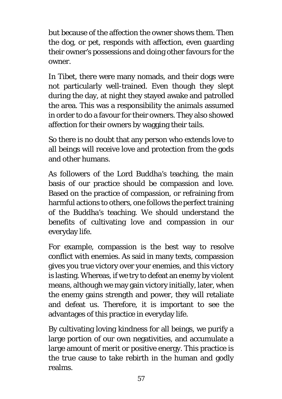but because of the affection the owner shows them. Then the dog, or pet, responds with affection, even guarding their owner's possessions and doing other favours for the owner.

In Tibet, there were many nomads, and their dogs were not particularly well-trained. Even though they slept during the day, at night they stayed awake and patrolled the area. This was a responsibility the animals assumed in order to do a favour for their owners. They also showed affection for their owners by wagging their tails.

So there is no doubt that any person who extends love to all beings will receive love and protection from the gods and other humans.

As followers of the Lord Buddha's teaching, the main basis of our practice should be compassion and love. Based on the practice of compassion, or refraining from harmful actions to others, one follows the perfect training of the Buddha's teaching. We should understand the benefits of cultivating love and compassion in our everyday life.

For example, compassion is the best way to resolve conflict with enemies. As said in many texts, compassion gives you true victory over your enemies, and this victory is lasting. Whereas, if we try to defeat an enemy by violent means, although we may gain victory initially, later, when the enemy gains strength and power, they will retaliate and defeat us. Therefore, it is important to see the advantages of this practice in everyday life.

By cultivating loving kindness for all beings, we purify a large portion of our own negativities, and accumulate a large amount of merit or positive energy. This practice is the true cause to take rebirth in the human and godly realms.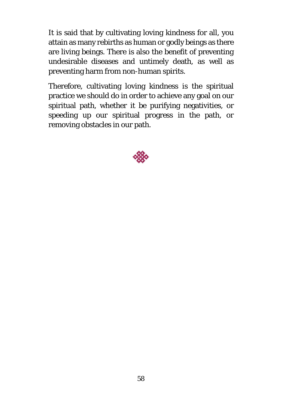It is said that by cultivating loving kindness for all, you attain as many rebirths as human or godly beings as there are living beings. There is also the benefit of preventing undesirable diseases and untimely death, as well as preventing harm from non-human spirits.

Therefore, cultivating loving kindness is the spiritual practice we should do in order to achieve any goal on our spiritual path, whether it be purifying negativities, or speeding up our spiritual progress in the path, or removing obstacles in our path.

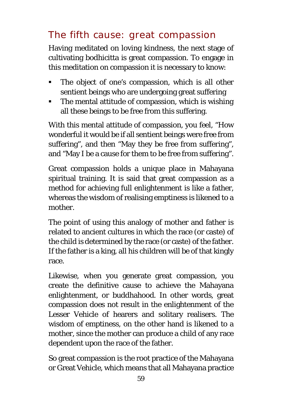# The fifth cause: great compassion

Having meditated on loving kindness, the next stage of cultivating bodhicitta is great compassion. To engage in this meditation on compassion it is necessary to know:

- The object of one's compassion, which is all other sentient beings who are undergoing great suffering
- The mental attitude of compassion, which is wishing all these beings to be free from this suffering.

With this mental attitude of compassion, you feel, "How wonderful it would be if all sentient beings were free from suffering", and then "May they be free from suffering", and "May I be a cause for them to be free from suffering".

Great compassion holds a unique place in Mahayana spiritual training. It is said that great compassion as a method for achieving full enlightenment is like a father, whereas the wisdom of realising emptiness is likened to a mother.

The point of using this analogy of mother and father is related to ancient cultures in which the race (or caste) of the child is determined by the race (or caste) of the father. If the father is a king, all his children will be of that kingly race.

Likewise, when you generate great compassion, you create the definitive cause to achieve the Mahayana enlightenment, or buddhahood. In other words, great compassion does not result in the enlightenment of the Lesser Vehicle of hearers and solitary realisers. The wisdom of emptiness, on the other hand is likened to a mother, since the mother can produce a child of any race dependent upon the race of the father.

So great compassion is the root practice of the Mahayana or Great Vehicle, which means that all Mahayana practice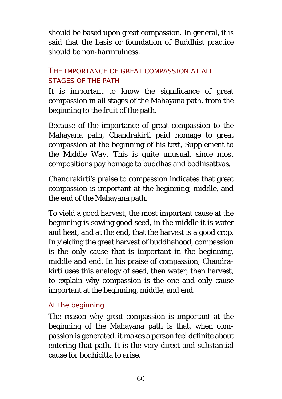should be based upon great compassion. In general, it is said that the basis or foundation of Buddhist practice should be non-harmfulness.

## THE IMPORTANCE OF GREAT COMPASSION AT ALL STAGES OF THE PATH

It is important to know the significance of great compassion in all stages of the Mahayana path, from the beginning to the fruit of the path.

Because of the importance of great compassion to the Mahayana path, Chandrakirti paid homage to great compassion at the beginning of his text, *Supplement to the Middle Way*. This is quite unusual, since most compositions pay homage to buddhas and bodhisattvas.

Chandrakirti's praise to compassion indicates that great compassion is important at the beginning, middle, and the end of the Mahayana path.

To yield a good harvest, the most important cause at the beginning is sowing good seed, in the middle it is water and heat, and at the end, that the harvest is a good crop. In yielding the great harvest of buddhahood, compassion is the only cause that is important in the beginning, middle and end. In his praise of compassion, Chandrakirti uses this analogy of seed, then water, then harvest, to explain why compassion is the one and only cause important at the beginning, middle, and end.

#### *At the beginning*

The reason why great compassion is important at the beginning of the Mahayana path is that, when compassion is generated, it makes a person feel definite about entering that path. It is the very direct and substantial cause for bodhicitta to arise.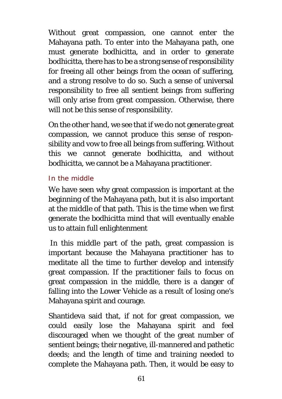Without great compassion, one cannot enter the Mahayana path. To enter into the Mahayana path, one must generate bodhicitta, and in order to generate bodhicitta, there has to be a strong sense of responsibility for freeing all other beings from the ocean of suffering, and a strong resolve to do so. Such a sense of universal responsibility to free all sentient beings from suffering will only arise from great compassion. Otherwise, there will not be this sense of responsibility.

On the other hand, we see that if we do not generate great compassion, we cannot produce this sense of responsibility and vow to free all beings from suffering. Without this we cannot generate bodhicitta, and without bodhicitta, we cannot be a Mahayana practitioner.

### *In the middle*

We have seen why great compassion is important at the beginning of the Mahayana path, but it is also important at the middle of that path. This is the time when we first generate the bodhicitta mind that will eventually enable us to attain full enlightenment

In this middle part of the path, great compassion is important because the Mahayana practitioner has to meditate all the time to further develop and intensify great compassion. If the practitioner fails to focus on great compassion in the middle, there is a danger of falling into the Lower Vehicle as a result of losing one's Mahayana spirit and courage.

Shantideva said that, if not for great compassion, we could easily lose the Mahayana spirit and feel discouraged when we thought of the great number of sentient beings; their negative, ill-mannered and pathetic deeds; and the length of time and training needed to complete the Mahayana path. Then, it would be easy to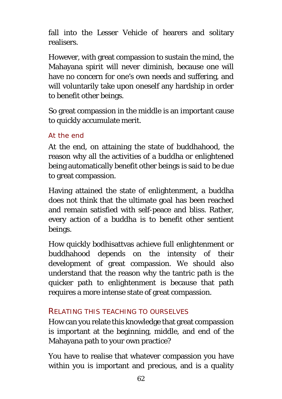fall into the Lesser Vehicle of hearers and solitary realisers.

However, with great compassion to sustain the mind, the Mahayana spirit will never diminish, because one will have no concern for one's own needs and suffering, and will voluntarily take upon oneself any hardship in order to benefit other beings.

So great compassion in the middle is an important cause to quickly accumulate merit.

#### *At the end*

At the end, on attaining the state of buddhahood, the reason why all the activities of a buddha or enlightened being automatically benefit other beings is said to be due to great compassion.

Having attained the state of enlightenment, a buddha does not think that the ultimate goal has been reached and remain satisfied with self-peace and bliss. Rather, every action of a buddha is to benefit other sentient beings.

How quickly bodhisattvas achieve full enlightenment or buddhahood depends on the intensity of their development of great compassion. We should also understand that the reason why the tantric path is the quicker path to enlightenment is because that path requires a more intense state of great compassion.

#### RELATING THIS TEACHING TO OURSELVES

How can you relate this knowledge that great compassion is important at the beginning, middle, and end of the Mahayana path to your own practice?

You have to realise that whatever compassion you have within you is important and precious, and is a quality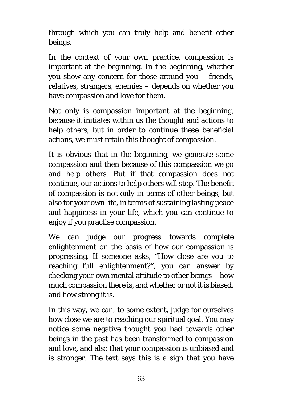through which you can truly help and benefit other beings.

In the context of your own practice, compassion is important at the beginning. In the beginning, whether you show any concern for those around you – friends, relatives, strangers, enemies – depends on whether you have compassion and love for them.

Not only is compassion important at the beginning, because it initiates within us the thought and actions to help others, but in order to continue these beneficial actions, we must retain this thought of compassion.

It is obvious that in the beginning, we generate some compassion and then because of this compassion we go and help others. But if that compassion does not continue, our actions to help others will stop. The benefit of compassion is not only in terms of other beings, but also for your own life, in terms of sustaining lasting peace and happiness in your life, which you can continue to enjoy if you practise compassion.

We can judge our progress towards complete enlightenment on the basis of how our compassion is progressing. If someone asks, "How close are you to reaching full enlightenment?", you can answer by checking your own mental attitude to other beings – how much compassion there is, and whether or not it is biased, and how strong it is.

In this way, we can, to some extent, judge for ourselves how close we are to reaching our spiritual goal. You may notice some negative thought you had towards other beings in the past has been transformed to compassion and love, and also that your compassion is unbiased and is stronger. The text says this is a sign that you have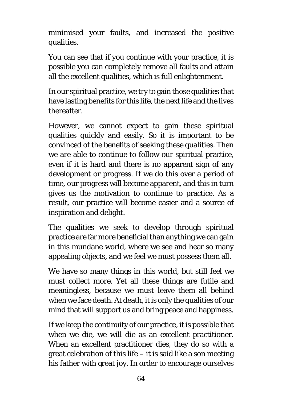minimised your faults, and increased the positive qualities.

You can see that if you continue with your practice, it is possible you can completely remove all faults and attain all the excellent qualities, which is full enlightenment.

In our spiritual practice, we try to gain those qualities that have lasting benefits for this life, the next life and the lives thereafter.

However, we cannot expect to gain these spiritual qualities quickly and easily. So it is important to be convinced of the benefits of seeking these qualities. Then we are able to continue to follow our spiritual practice, even if it is hard and there is no apparent sign of any development or progress. If we do this over a period of time, our progress will become apparent, and this in turn gives us the motivation to continue to practice. As a result, our practice will become easier and a source of inspiration and delight.

The qualities we seek to develop through spiritual practice are far more beneficial than anything we can gain in this mundane world, where we see and hear so many appealing objects, and we feel we must possess them all.

We have so many things in this world, but still feel we must collect more. Yet all these things are futile and meaningless, because we must leave them all behind when we face death. At death, it is only the qualities of our mind that will support us and bring peace and happiness.

If we keep the continuity of our practice, it is possible that when we die, we will die as an excellent practitioner. When an excellent practitioner dies, they do so with a great celebration of this life – it is said like a son meeting his father with great joy. In order to encourage ourselves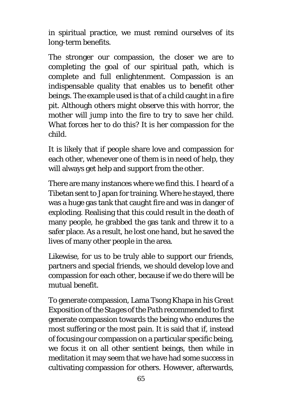in spiritual practice, we must remind ourselves of its long-term benefits.

The stronger our compassion, the closer we are to completing the goal of our spiritual path, which is complete and full enlightenment. Compassion is an indispensable quality that enables us to benefit other beings. The example used is that of a child caught in a fire pit. Although others might observe this with horror, the mother will jump into the fire to try to save her child. What forces her to do this? It is her compassion for the child.

It is likely that if people share love and compassion for each other, whenever one of them is in need of help, they will always get help and support from the other.

There are many instances where we find this. I heard of a Tibetan sent to Japan for training. Where he stayed, there was a huge gas tank that caught fire and was in danger of exploding. Realising that this could result in the death of many people, he grabbed the gas tank and threw it to a safer place. As a result, he lost one hand, but he saved the lives of many other people in the area.

Likewise, for us to be truly able to support our friends, partners and special friends, we should develop love and compassion for each other, because if we do there will be mutual benefit.

To generate compassion, Lama Tsong Khapa in his *Great Exposition of the Stages of the Path* recommended to first generate compassion towards the being who endures the most suffering or the most pain. It is said that if, instead of focusing our compassion on a particular specific being, we focus it on all other sentient beings, then while in meditation it may seem that we have had some success in cultivating compassion for others. However, afterwards,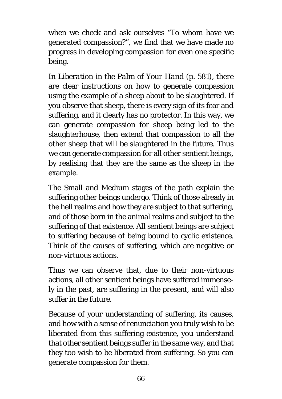when we check and ask ourselves "To whom have we generated compassion?", we find that we have made no progress in developing compassion for even one specific being.

In *Liberation in the Palm of Your Hand* (p. 581), there are clear instructions on how to generate compassion using the example of a sheep about to be slaughtered. If you observe that sheep, there is every sign of its fear and suffering, and it clearly has no protector. In this way, we can generate compassion for sheep being led to the slaughterhouse, then extend that compassion to all the other sheep that will be slaughtered in the future. Thus we can generate compassion for all other sentient beings, by realising that they are the same as the sheep in the example.

The Small and Medium stages of the path explain the suffering other beings undergo. Think of those already in the hell realms and how they are subject to that suffering, and of those born in the animal realms and subject to the suffering of that existence. All sentient beings are subject to suffering because of being bound to cyclic existence. Think of the causes of suffering, which are negative or non-virtuous actions.

Thus we can observe that, due to their non-virtuous actions, all other sentient beings have suffered immensely in the past, are suffering in the present, and will also suffer in the future.

Because of your understanding of suffering, its causes, and how with a sense of renunciation you truly wish to be liberated from this suffering existence, you understand that other sentient beings suffer in the same way, and that they too wish to be liberated from suffering. So you can generate compassion for them.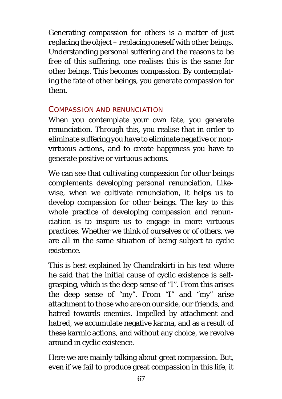Generating compassion for others is a matter of just replacing the object – replacing oneself with other beings. Understanding personal suffering and the reasons to be free of this suffering, one realises this is the same for other beings. This becomes compassion. By contemplating the fate of other beings, you generate compassion for them.

#### COMPASSION AND RENUNCIATION

When you contemplate your own fate, you generate renunciation. Through this, you realise that in order to eliminate suffering you have to eliminate negative or nonvirtuous actions, and to create happiness you have to generate positive or virtuous actions.

We can see that cultivating compassion for other beings complements developing personal renunciation. Likewise, when we cultivate renunciation, it helps us to develop compassion for other beings. The key to this whole practice of developing compassion and renunciation is to inspire us to engage in more virtuous practices. Whether we think of ourselves or of others, we are all in the same situation of being subject to cyclic existence.

This is best explained by Chandrakirti in his text where he said that the initial cause of cyclic existence is selfgrasping, which is the deep sense of "I". From this arises the deep sense of "my". From "I" and "my" arise attachment to those who are on our side, our friends, and hatred towards enemies. Impelled by attachment and hatred, we accumulate negative karma, and as a result of these karmic actions, and without any choice, we revolve around in cyclic existence.

Here we are mainly talking about great compassion. But, even if we fail to produce great compassion in this life, it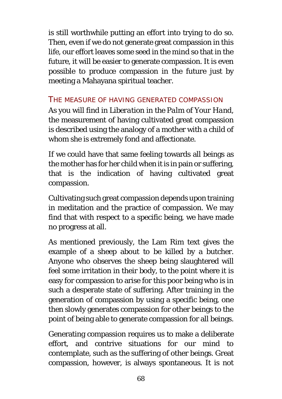is still worthwhile putting an effort into trying to do so. Then, even if we do not generate great compassion in this life, our effort leaves some seed in the mind so that in the future, it will be easier to generate compassion. It is even possible to produce compassion in the future just by meeting a Mahayana spiritual teacher.

### THE MEASURE OF HAVING GENERATED COMPASSION

As you will find in *Liberation in the Palm of Your Hand*, the measurement of having cultivated great compassion is described using the analogy of a mother with a child of whom she is extremely fond and affectionate.

If we could have that same feeling towards all beings as the mother has for her child when it is in pain or suffering, that is the indication of having cultivated great compassion.

Cultivating such great compassion depends upon training in meditation and the practice of compassion. We may find that with respect to a specific being, we have made no progress at all.

As mentioned previously, the Lam Rim text gives the example of a sheep about to be killed by a butcher. Anyone who observes the sheep being slaughtered will feel some irritation in their body, to the point where it is easy for compassion to arise for this poor being who is in such a desperate state of suffering. After training in the generation of compassion by using a specific being, one then slowly generates compassion for other beings to the point of being able to generate compassion for all beings.

Generating compassion requires us to make a deliberate effort, and contrive situations for our mind to contemplate, such as the suffering of other beings. Great compassion, however, is always spontaneous. It is not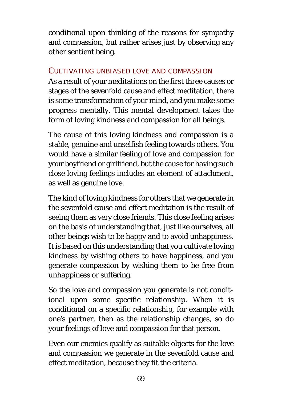conditional upon thinking of the reasons for sympathy and compassion, but rather arises just by observing any other sentient being.

#### CULTIVATING UNBIASED LOVE AND COMPASSION

As a result of your meditations on the first three causes or stages of the sevenfold cause and effect meditation, there is some transformation of your mind, and you make some progress mentally. This mental development takes the form of loving kindness and compassion for all beings.

The cause of this loving kindness and compassion is a stable, genuine and unselfish feeling towards others. You would have a similar feeling of love and compassion for your boyfriend or girlfriend, but the cause for having such close loving feelings includes an element of attachment, as well as genuine love.

The kind of loving kindness for others that we generate in the sevenfold cause and effect meditation is the result of seeing them as very close friends. This close feeling arises on the basis of understanding that, just like ourselves, all other beings wish to be happy and to avoid unhappiness. It is based on this understanding that you cultivate loving kindness by wishing others to have happiness, and you generate compassion by wishing them to be free from unhappiness or suffering.

So the love and compassion you generate is not conditional upon some specific relationship. When it is conditional on a specific relationship, for example with one's partner, then as the relationship changes, so do your feelings of love and compassion for that person.

Even our enemies qualify as suitable objects for the love and compassion we generate in the sevenfold cause and effect meditation, because they fit the criteria.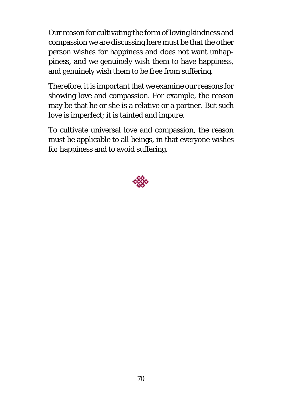Our reason for cultivating the form of loving kindness and compassion we are discussing here must be that the other person wishes for happiness and does not want unhappiness, and we genuinely wish them to have happiness, and genuinely wish them to be free from suffering.

Therefore, it is important that we examine our reasons for showing love and compassion. For example, the reason may be that he or she is a relative or a partner. But such love is imperfect; it is tainted and impure.

To cultivate universal love and compassion, the reason must be applicable to all beings, in that everyone wishes for happiness and to avoid suffering.

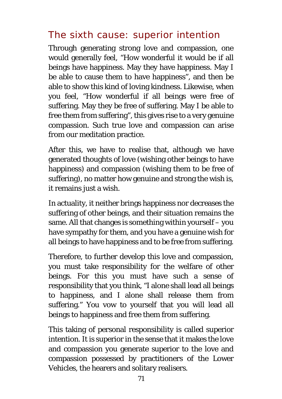### The sixth cause: superior intention

Through generating strong love and compassion, one would generally feel, "How wonderful it would be if all beings have happiness. May they have happiness. May I be able to cause them to have happiness", and then be able to show this kind of loving kindness. Likewise, when you feel, "How wonderful if all beings were free of suffering. May they be free of suffering. May I be able to free them from suffering", this gives rise to a very genuine compassion. Such true love and compassion can arise from our meditation practice.

After this, we have to realise that, although we have generated thoughts of love (wishing other beings to have happiness) and compassion (wishing them to be free of suffering), no matter how genuine and strong the wish is, it remains just a wish.

In actuality, it neither brings happiness nor decreases the suffering of other beings, and their situation remains the same. All that changes is something within yourself – you have sympathy for them, and you have a genuine wish for all beings to have happiness and to be free from suffering.

Therefore, to further develop this love and compassion, you must take responsibility for the welfare of other beings. For this you must have such a sense of responsibility that you think, "I alone shall lead all beings to happiness, and I alone shall release them from suffering." You vow to yourself that you will lead all beings to happiness and free them from suffering.

This taking of personal responsibility is called superior intention. It is superior in the sense that it makes the love and compassion you generate superior to the love and compassion possessed by practitioners of the Lower Vehicles, the hearers and solitary realisers.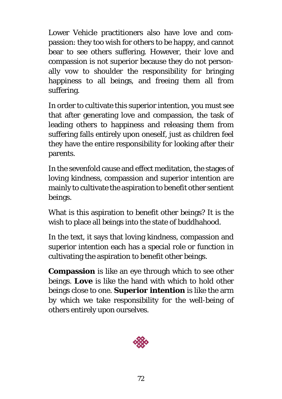Lower Vehicle practitioners also have love and compassion: they too wish for others to be happy, and cannot bear to see others suffering. However, their love and compassion is not superior because they do not personally vow to shoulder the responsibility for bringing happiness to all beings, and freeing them all from suffering.

In order to cultivate this superior intention, you must see that after generating love and compassion, the task of leading others to happiness and releasing them from suffering falls entirely upon oneself, just as children feel they have the entire responsibility for looking after their parents.

In the sevenfold cause and effect meditation, the stages of loving kindness, compassion and superior intention are mainly to cultivate the aspiration to benefit other sentient beings.

What is this aspiration to benefit other beings? It is the wish to place all beings into the state of buddhahood.

In the text, it says that loving kindness, compassion and superior intention each has a special role or function in cultivating the aspiration to benefit other beings.

**Compassion** is like an eye through which to see other beings. **Love** is like the hand with which to hold other beings close to one. **Superior intention** is like the arm by which we take responsibility for the well-being of others entirely upon ourselves.

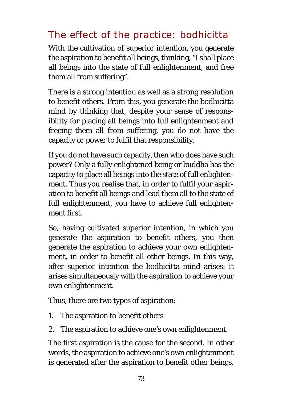### The effect of the practice: bodhicitta

With the cultivation of superior intention, you generate the aspiration to benefit all beings, thinking, "I shall place all beings into the state of full enlightenment, and free them all from suffering".

There is a strong intention as well as a strong resolution to benefit others. From this, you generate the bodhicitta mind by thinking that, despite your sense of responsibility for placing all beings into full enlightenment and freeing them all from suffering, you do not have the capacity or power to fulfil that responsibility.

If you do not have such capacity, then who does have such power? Only a fully enlightened being or buddha has the capacity to place all beings into the state of full enlightenment. Thus you realise that, in order to fulfil your aspiration to benefit all beings and lead them all to the state of full enlightenment, you have to achieve full enlightenment first.

So, having cultivated superior intention, in which you generate the aspiration to benefit others, you then generate the aspiration to achieve your own enlightenment, in order to benefit all other beings. In this way, after superior intention the bodhicitta mind arises: it arises simultaneously with the aspiration to achieve your own enlightenment.

Thus, there are two types of aspiration:

- 1. The aspiration to benefit others
- 2. The aspiration to achieve one's own enlightenment.

The first aspiration is the cause for the second. In other words, the aspiration to achieve one's own enlightenment is generated after the aspiration to benefit other beings.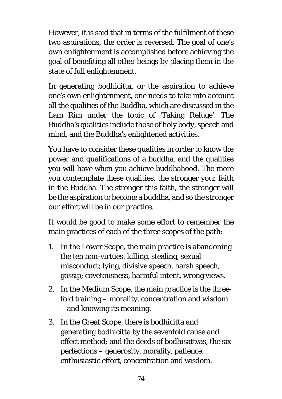However, it is said that in terms of the fulfilment of these two aspirations, the order is reversed. The goal of one's own enlightenment is accomplished before achieving the goal of benefiting all other beings by placing them in the state of full enlightenment.

In generating bodhicitta, or the aspiration to achieve one's own enlightenment, one needs to take into account all the qualities of the Buddha, which are discussed in the Lam Rim under the topic of 'Taking Refuge'. The Buddha's qualities include those of holy body, speech and mind, and the Buddha's enlightened activities.

You have to consider these qualities in order to know the power and qualifications of a buddha, and the qualities you will have when you achieve buddhahood. The more you contemplate these qualities, the stronger your faith in the Buddha. The stronger this faith, the stronger will be the aspiration to become a buddha, and so the stronger our effort will be in our practice.

It would be good to make some effort to remember the main practices of each of the three scopes of the path:

- 1. In the Lower Scope, the main practice is abandoning the ten non-virtues: killing, stealing, sexual misconduct; lying, divisive speech, harsh speech, gossip; covetousness, harmful intent, wrong views.
- 2. In the Medium Scope, the main practice is the threefold training – morality, concentration and wisdom – and knowing its meaning.
- 3. In the Great Scope, there is bodhicitta and generating bodhicitta by the sevenfold cause and effect method; and the deeds of bodhisattvas, the six perfections – generosity, morality, patience, enthusiastic effort, concentration and wisdom.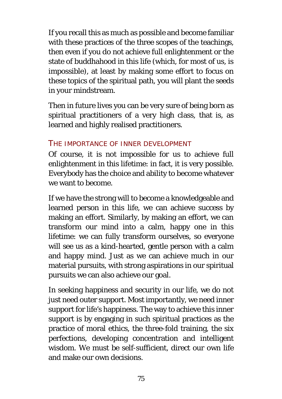If you recall this as much as possible and become familiar with these practices of the three scopes of the teachings, then even if you do not achieve full enlightenment or the state of buddhahood in this life (which, for most of us, is impossible), at least by making some effort to focus on these topics of the spiritual path, you will plant the seeds in your mindstream.

Then in future lives you can be very sure of being born as spiritual practitioners of a very high class, that is, as learned and highly realised practitioners.

#### THE IMPORTANCE OF INNER DEVELOPMENT

Of course, it is not impossible for us to achieve full enlightenment in this lifetime: in fact, it is very possible. Everybody has the choice and ability to become whatever we want to become.

If we have the strong will to become a knowledgeable and learned person in this life, we can achieve success by making an effort. Similarly, by making an effort, we can transform our mind into a calm, happy one in this lifetime: we can fully transform ourselves, so everyone will see us as a kind-hearted, gentle person with a calm and happy mind. Just as we can achieve much in our material pursuits, with strong aspirations in our spiritual pursuits we can also achieve our goal.

In seeking happiness and security in our life, we do not just need outer support. Most importantly, we need inner support for life's happiness. The way to achieve this inner support is by engaging in such spiritual practices as the practice of moral ethics, the three-fold training, the six perfections, developing concentration and intelligent wisdom. We must be self-sufficient, direct our own life and make our own decisions.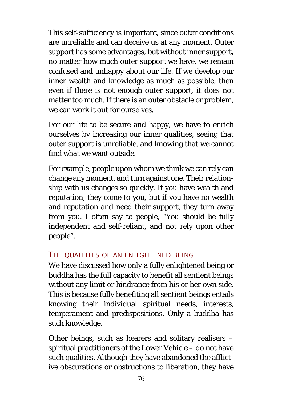This self-sufficiency is important, since outer conditions are unreliable and can deceive us at any moment. Outer support has some advantages, but without inner support, no matter how much outer support we have, we remain confused and unhappy about our life. If we develop our inner wealth and knowledge as much as possible, then even if there is not enough outer support, it does not matter too much. If there is an outer obstacle or problem, we can work it out for ourselves.

For our life to be secure and happy, we have to enrich ourselves by increasing our inner qualities, seeing that outer support is unreliable, and knowing that we cannot find what we want outside.

For example, people upon whom we think we can rely can change any moment, and turn against one. Their relationship with us changes so quickly. If you have wealth and reputation, they come to you, but if you have no wealth and reputation and need their support, they turn away from you. I often say to people, "You should be fully independent and self-reliant, and not rely upon other people".

#### THE QUALITIES OF AN ENLIGHTENED BEING

We have discussed how only a fully enlightened being or buddha has the full capacity to benefit all sentient beings without any limit or hindrance from his or her own side. This is because fully benefiting all sentient beings entails knowing their individual spiritual needs, interests, temperament and predispositions. Only a buddha has such knowledge.

Other beings, such as hearers and solitary realisers – spiritual practitioners of the Lower Vehicle – do not have such qualities. Although they have abandoned the afflictive obscurations or obstructions to liberation, they have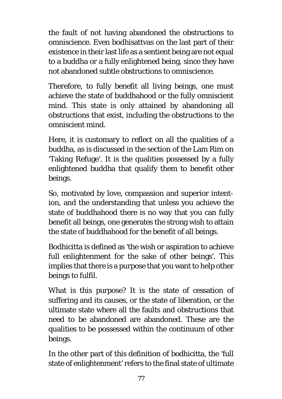the fault of not having abandoned the obstructions to omniscience. Even bodhisattvas on the last part of their existence in their last life as a sentient being are not equal to a buddha or a fully enlightened being, since they have not abandoned subtle obstructions to omniscience.

Therefore, to fully benefit all living beings, one must achieve the state of buddhahood or the fully omniscient mind. This state is only attained by abandoning all obstructions that exist, including the obstructions to the omniscient mind.

Here, it is customary to reflect on all the qualities of a buddha, as is discussed in the section of the Lam Rim on 'Taking Refuge'*.* It is the qualities possessed by a fully enlightened buddha that qualify them to benefit other beings.

So, motivated by love, compassion and superior intention, and the understanding that unless you achieve the state of buddhahood there is no way that you can fully benefit all beings, one generates the strong wish to attain the state of buddhahood for the benefit of all beings.

Bodhicitta is defined as 'the wish or aspiration to achieve full enlightenment for the sake of other beings'. This implies that there is a purpose that you want to help other beings to fulfil.

What is this purpose? It is the state of cessation of suffering and its causes, or the state of liberation, or the ultimate state where all the faults and obstructions that need to be abandoned are abandoned. These are the qualities to be possessed within the continuum of other beings.

In the other part of this definition of bodhicitta, the 'full state of enlightenment' refers to the final state of ultimate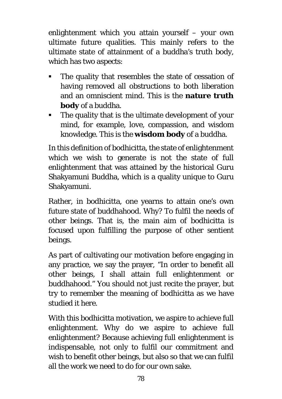enlightenment which you attain yourself – your own ultimate future qualities. This mainly refers to the ultimate state of attainment of a buddha's truth body, which has two aspects:

- The quality that resembles the state of cessation of having removed all obstructions to both liberation and an omniscient mind. This is the **nature truth body** of a buddha.
- The quality that is the ultimate development of your mind, for example, love, compassion, and wisdom knowledge. This is the **wisdom body** of a buddha.

In this definition of bodhicitta, the state of enlightenment which we wish to generate is not the state of full enlightenment that was attained by the historical Guru Shakyamuni Buddha, which is a quality unique to Guru Shakyamuni.

Rather, in bodhicitta, one yearns to attain one's own future state of buddhahood. Why? To fulfil the needs of other beings. That is, the main aim of bodhicitta is focused upon fulfilling the purpose of other sentient beings.

As part of cultivating our motivation before engaging in any practice, we say the prayer, "In order to benefit all other beings, I shall attain full enlightenment or buddhahood." You should not just recite the prayer, but try to remember the meaning of bodhicitta as we have studied it here.

With this bodhicitta motivation, we aspire to achieve full enlightenment. Why do we aspire to achieve full enlightenment? Because achieving full enlightenment is indispensable, not only to fulfil our commitment and wish to benefit other beings, but also so that we can fulfil all the work we need to do for our own sake.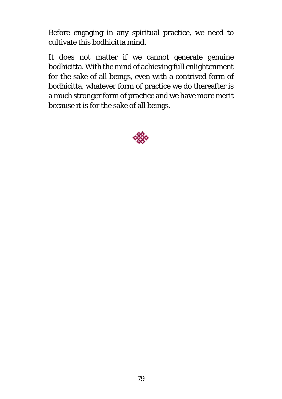Before engaging in any spiritual practice, we need to cultivate this bodhicitta mind.

It does not matter if we cannot generate genuine bodhicitta. With the mind of achieving full enlightenment for the sake of all beings, even with a contrived form of bodhicitta, whatever form of practice we do thereafter is a much stronger form of practice and we have more merit because it is for the sake of all beings.

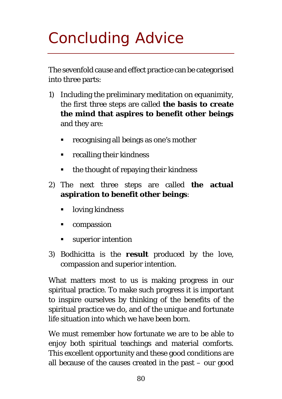# Concluding Advice

The sevenfold cause and effect practice can be categorised into three parts:

- 1) Including the preliminary meditation on equanimity, the first three steps are called **the basis to create the mind that aspires to benefit other beings** and they are:
	- recognising all beings as one's mother
	- **•** recalling their kindness
	- the thought of repaying their kindness
- 2) The next three steps are called **the actual aspiration to benefit other beings**:
	- loving kindness
	- compassion
	- **superior intention**
- 3) Bodhicitta is the **result** produced by the love, compassion and superior intention.

What matters most to us is making progress in our spiritual practice. To make such progress it is important to inspire ourselves by thinking of the benefits of the spiritual practice we do, and of the unique and fortunate life situation into which we have been born.

We must remember how fortunate we are to be able to enjoy both spiritual teachings and material comforts. This excellent opportunity and these good conditions are all because of the causes created in the past – our good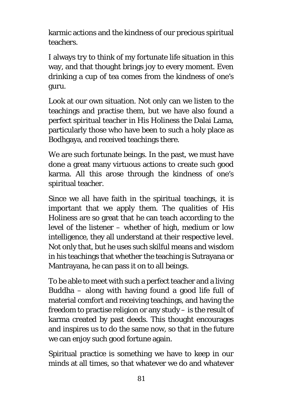karmic actions and the kindness of our precious spiritual teachers.

I always try to think of my fortunate life situation in this way, and that thought brings joy to every moment. Even drinking a cup of tea comes from the kindness of one's guru.

Look at our own situation. Not only can we listen to the teachings and practise them, but we have also found a perfect spiritual teacher in His Holiness the Dalai Lama, particularly those who have been to such a holy place as Bodhgaya, and received teachings there.

We are such fortunate beings. In the past, we must have done a great many virtuous actions to create such good karma. All this arose through the kindness of one's spiritual teacher.

Since we all have faith in the spiritual teachings, it is important that we apply them. The qualities of His Holiness are so great that he can teach according to the level of the listener – whether of high, medium or low intelligence, they all understand at their respective level. Not only that, but he uses such skilful means and wisdom in his teachings that whether the teaching is Sutrayana or Mantrayana, he can pass it on to all beings.

To be able to meet with such a perfect teacher and a living Buddha – along with having found a good life full of material comfort and receiving teachings, and having the freedom to practise religion or any study – is the result of karma created by past deeds. This thought encourages and inspires us to do the same now, so that in the future we can enjoy such good fortune again.

Spiritual practice is something we have to keep in our minds at all times, so that whatever we do and whatever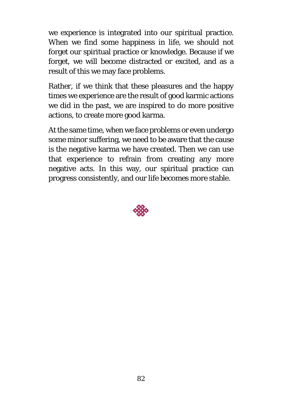we experience is integrated into our spiritual practice. When we find some happiness in life, we should not forget our spiritual practice or knowledge. Because if we forget, we will become distracted or excited, and as a result of this we may face problems.

Rather, if we think that these pleasures and the happy times we experience are the result of good karmic actions we did in the past, we are inspired to do more positive actions, to create more good karma.

At the same time, when we face problems or even undergo some minor suffering, we need to be aware that the cause is the negative karma we have created. Then we can use that experience to refrain from creating any more negative acts. In this way, our spiritual practice can progress consistently, and our life becomes more stable.